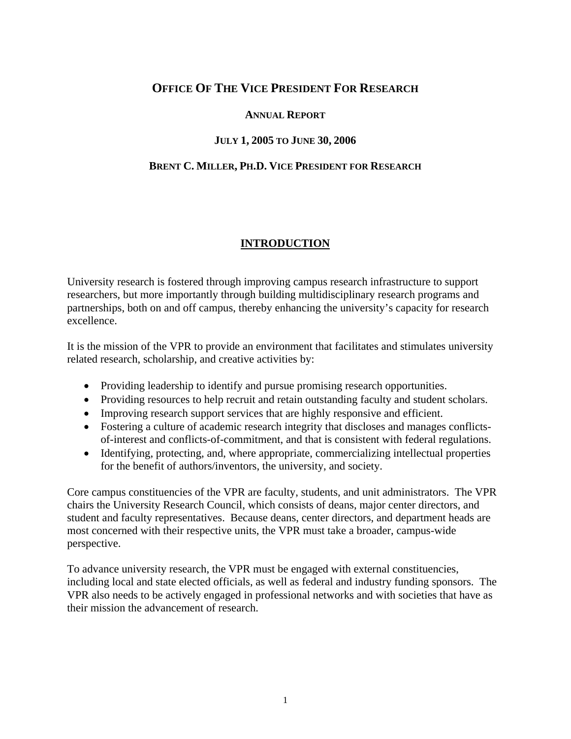## **OFFICE OF THE VICE PRESIDENT FOR RESEARCH**

#### **ANNUAL REPORT**

## **JULY 1, 2005 TO JUNE 30, 2006**

### **BRENT C. MILLER, PH.D. VICE PRESIDENT FOR RESEARCH**

## **INTRODUCTION**

University research is fostered through improving campus research infrastructure to support researchers, but more importantly through building multidisciplinary research programs and partnerships, both on and off campus, thereby enhancing the university's capacity for research excellence.

It is the mission of the VPR to provide an environment that facilitates and stimulates university related research, scholarship, and creative activities by:

- Providing leadership to identify and pursue promising research opportunities.
- Providing resources to help recruit and retain outstanding faculty and student scholars.
- Improving research support services that are highly responsive and efficient.
- Fostering a culture of academic research integrity that discloses and manages conflictsof-interest and conflicts-of-commitment, and that is consistent with federal regulations.
- Identifying, protecting, and, where appropriate, commercializing intellectual properties for the benefit of authors/inventors, the university, and society.

Core campus constituencies of the VPR are faculty, students, and unit administrators. The VPR chairs the University Research Council, which consists of deans, major center directors, and student and faculty representatives. Because deans, center directors, and department heads are most concerned with their respective units, the VPR must take a broader, campus-wide perspective.

To advance university research, the VPR must be engaged with external constituencies, including local and state elected officials, as well as federal and industry funding sponsors. The VPR also needs to be actively engaged in professional networks and with societies that have as their mission the advancement of research.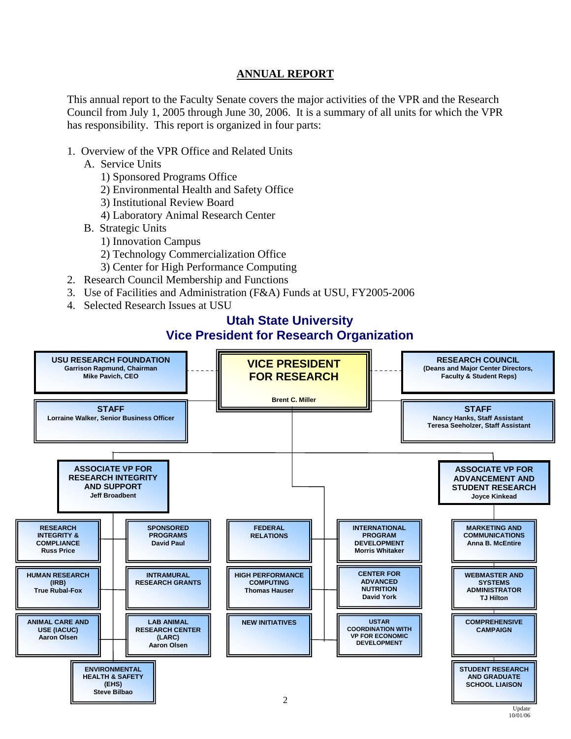## **ANNUAL REPORT**

This annual report to the Faculty Senate covers the major activities of the VPR and the Research Council from July 1, 2005 through June 30, 2006. It is a summary of all units for which the VPR has responsibility. This report is organized in four parts:

- 1. Overview of the VPR Office and Related Units
	- A. Service Units
		- 1) Sponsored Programs Office
		- 2) Environmental Health and Safety Office
		- 3) Institutional Review Board
		- 4) Laboratory Animal Research Center
	- B. Strategic Units
		- 1) Innovation Campus
		- 2) Technology Commercialization Office
		- 3) Center for High Performance Computing
- 2. Research Council Membership and Functions
- 3. Use of Facilities and Administration (F&A) Funds at USU, FY2005-2006
- 4. Selected Research Issues at USU

# **Utah State University Vice President for Research Organization**

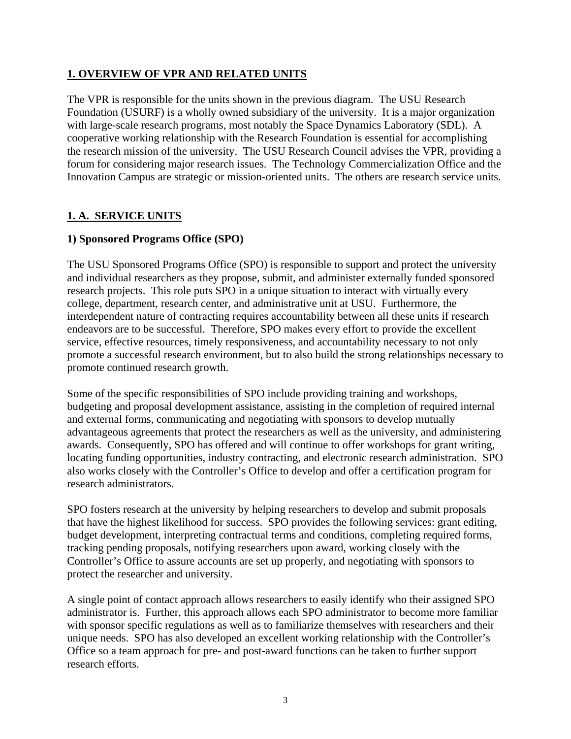## **1. OVERVIEW OF VPR AND RELATED UNITS**

The VPR is responsible for the units shown in the previous diagram. The USU Research Foundation (USURF) is a wholly owned subsidiary of the university. It is a major organization with large-scale research programs, most notably the Space Dynamics Laboratory (SDL). A cooperative working relationship with the Research Foundation is essential for accomplishing the research mission of the university. The USU Research Council advises the VPR, providing a forum for considering major research issues. The Technology Commercialization Office and the Innovation Campus are strategic or mission-oriented units. The others are research service units.

## **1. A. SERVICE UNITS**

### **1) Sponsored Programs Office (SPO)**

The USU Sponsored Programs Office (SPO) is responsible to support and protect the university and individual researchers as they propose, submit, and administer externally funded sponsored research projects. This role puts SPO in a unique situation to interact with virtually every college, department, research center, and administrative unit at USU. Furthermore, the interdependent nature of contracting requires accountability between all these units if research endeavors are to be successful. Therefore, SPO makes every effort to provide the excellent service, effective resources, timely responsiveness, and accountability necessary to not only promote a successful research environment, but to also build the strong relationships necessary to promote continued research growth.

Some of the specific responsibilities of SPO include providing training and workshops, budgeting and proposal development assistance, assisting in the completion of required internal and external forms, communicating and negotiating with sponsors to develop mutually advantageous agreements that protect the researchers as well as the university, and administering awards. Consequently, SPO has offered and will continue to offer workshops for grant writing, locating funding opportunities, industry contracting, and electronic research administration. SPO also works closely with the Controller's Office to develop and offer a certification program for research administrators.

SPO fosters research at the university by helping researchers to develop and submit proposals that have the highest likelihood for success. SPO provides the following services: grant editing, budget development, interpreting contractual terms and conditions, completing required forms, tracking pending proposals, notifying researchers upon award, working closely with the Controller's Office to assure accounts are set up properly, and negotiating with sponsors to protect the researcher and university.

A single point of contact approach allows researchers to easily identify who their assigned SPO administrator is. Further, this approach allows each SPO administrator to become more familiar with sponsor specific regulations as well as to familiarize themselves with researchers and their unique needs. SPO has also developed an excellent working relationship with the Controller's Office so a team approach for pre- and post-award functions can be taken to further support research efforts.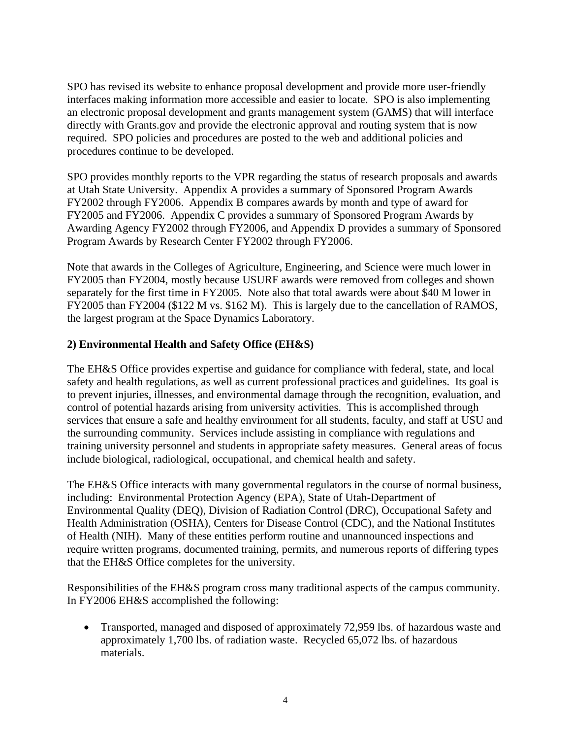SPO has revised its website to enhance proposal development and provide more user-friendly interfaces making information more accessible and easier to locate. SPO is also implementing an electronic proposal development and grants management system (GAMS) that will interface directly with Grants.gov and provide the electronic approval and routing system that is now required. SPO policies and procedures are posted to the web and additional policies and procedures continue to be developed.

SPO provides monthly reports to the VPR regarding the status of research proposals and awards at Utah State University. Appendix A provides a summary of Sponsored Program Awards FY2002 through FY2006. Appendix B compares awards by month and type of award for FY2005 and FY2006. Appendix C provides a summary of Sponsored Program Awards by Awarding Agency FY2002 through FY2006, and Appendix D provides a summary of Sponsored Program Awards by Research Center FY2002 through FY2006.

Note that awards in the Colleges of Agriculture, Engineering, and Science were much lower in FY2005 than FY2004, mostly because USURF awards were removed from colleges and shown separately for the first time in FY2005. Note also that total awards were about \$40 M lower in FY2005 than FY2004 (\$122 M vs. \$162 M). This is largely due to the cancellation of RAMOS, the largest program at the Space Dynamics Laboratory.

### **2) Environmental Health and Safety Office (EH&S)**

The EH&S Office provides expertise and guidance for compliance with federal, state, and local safety and health regulations, as well as current professional practices and guidelines. Its goal is to prevent injuries, illnesses, and environmental damage through the recognition, evaluation, and control of potential hazards arising from university activities. This is accomplished through services that ensure a safe and healthy environment for all students, faculty, and staff at USU and the surrounding community. Services include assisting in compliance with regulations and training university personnel and students in appropriate safety measures. General areas of focus include biological, radiological, occupational, and chemical health and safety.

The EH&S Office interacts with many governmental regulators in the course of normal business, including: Environmental Protection Agency (EPA), State of Utah-Department of Environmental Quality (DEQ), Division of Radiation Control (DRC), Occupational Safety and Health Administration (OSHA), Centers for Disease Control (CDC), and the National Institutes of Health (NIH). Many of these entities perform routine and unannounced inspections and require written programs, documented training, permits, and numerous reports of differing types that the EH&S Office completes for the university.

Responsibilities of the EH&S program cross many traditional aspects of the campus community. In FY2006 EH&S accomplished the following:

• Transported, managed and disposed of approximately 72,959 lbs. of hazardous waste and approximately 1,700 lbs. of radiation waste. Recycled 65,072 lbs. of hazardous materials.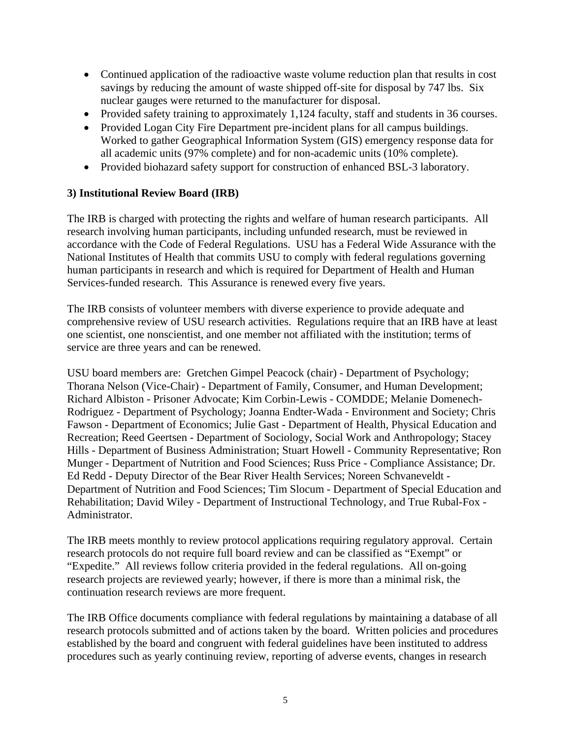- Continued application of the radioactive waste volume reduction plan that results in cost savings by reducing the amount of waste shipped off-site for disposal by 747 lbs. Six nuclear gauges were returned to the manufacturer for disposal.
- Provided safety training to approximately 1,124 faculty, staff and students in 36 courses.
- Provided Logan City Fire Department pre-incident plans for all campus buildings. Worked to gather Geographical Information System (GIS) emergency response data for all academic units (97% complete) and for non-academic units (10% complete).
- Provided biohazard safety support for construction of enhanced BSL-3 laboratory.

## **3) Institutional Review Board (IRB)**

The IRB is charged with protecting the rights and welfare of human research participants.All research involving human participants, including unfunded research, must be reviewed in accordance with the Code of Federal Regulations. USU has a Federal Wide Assurance with the National Institutes of Health that commits USU to comply with federal regulations governing human participants in research and which is required for Department of Health and Human Services-funded research. This Assurance is renewed every five years.

The IRB consists of volunteer members with diverse experience to provide adequate and comprehensive review of USU research activities. Regulations require that an IRB have at least one scientist, one nonscientist, and one member not affiliated with the institution; terms of service are three years and can be renewed.

USU board members are: Gretchen Gimpel Peacock (chair) - Department of Psychology; Thorana Nelson (Vice-Chair) - Department of Family, Consumer, and Human Development; Richard Albiston - Prisoner Advocate; Kim Corbin-Lewis - COMDDE; Melanie Domenech-Rodriguez - Department of Psychology; Joanna Endter-Wada - Environment and Society; Chris Fawson - Department of Economics; Julie Gast - Department of Health, Physical Education and Recreation; Reed Geertsen - Department of Sociology, Social Work and Anthropology; Stacey Hills - Department of Business Administration; Stuart Howell - Community Representative; Ron Munger - Department of Nutrition and Food Sciences; Russ Price - Compliance Assistance; Dr. Ed Redd - Deputy Director of the Bear River Health Services; Noreen Schvaneveldt - Department of Nutrition and Food Sciences; Tim Slocum - Department of Special Education and Rehabilitation; David Wiley - Department of Instructional Technology, and True Rubal-Fox - Administrator.

The IRB meets monthly to review protocol applications requiring regulatory approval. Certain research protocols do not require full board review and can be classified as "Exempt" or "Expedite." All reviews follow criteria provided in the federal regulations. All on-going research projects are reviewed yearly; however, if there is more than a minimal risk, the continuation research reviews are more frequent.

The IRB Office documents compliance with federal regulations by maintaining a database of all research protocols submitted and of actions taken by the board. Written policies and procedures established by the board and congruent with federal guidelines have been instituted to address procedures such as yearly continuing review, reporting of adverse events, changes in research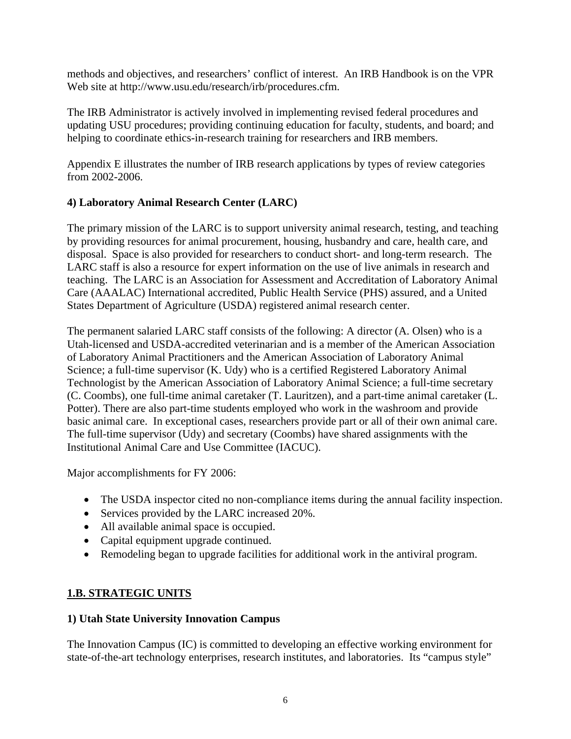methods and objectives, and researchers' conflict of interest. An IRB Handbook is on the VPR Web site at http://www.usu.edu/research/irb/procedures.cfm.

The IRB Administrator is actively involved in implementing revised federal procedures and updating USU procedures; providing continuing education for faculty, students, and board; and helping to coordinate ethics-in-research training for researchers and IRB members.

Appendix E illustrates the number of IRB research applications by types of review categories from 2002-2006.

## **4) Laboratory Animal Research Center (LARC)**

The primary mission of the LARC is to support university animal research, testing, and teaching by providing resources for animal procurement, housing, husbandry and care, health care, and disposal. Space is also provided for researchers to conduct short- and long-term research. The LARC staff is also a resource for expert information on the use of live animals in research and teaching. The LARC is an Association for Assessment and Accreditation of Laboratory Animal Care (AAALAC) International accredited, Public Health Service (PHS) assured, and a United States Department of Agriculture (USDA) registered animal research center.

The permanent salaried LARC staff consists of the following: A director (A. Olsen) who is a Utah-licensed and USDA-accredited veterinarian and is a member of the American Association of Laboratory Animal Practitioners and the American Association of Laboratory Animal Science; a full-time supervisor (K. Udy) who is a certified Registered Laboratory Animal Technologist by the American Association of Laboratory Animal Science; a full-time secretary (C. Coombs), one full-time animal caretaker (T. Lauritzen), and a part-time animal caretaker (L. Potter). There are also part-time students employed who work in the washroom and provide basic animal care. In exceptional cases, researchers provide part or all of their own animal care. The full-time supervisor (Udy) and secretary (Coombs) have shared assignments with the Institutional Animal Care and Use Committee (IACUC).

Major accomplishments for FY 2006:

- The USDA inspector cited no non-compliance items during the annual facility inspection.
- Services provided by the LARC increased 20%.
- All available animal space is occupied.
- Capital equipment upgrade continued.
- Remodeling began to upgrade facilities for additional work in the antiviral program.

## **1.B. STRATEGIC UNITS**

## **1) Utah State University Innovation Campus**

The Innovation Campus (IC) is committed to developing an effective working environment for state-of-the-art technology enterprises, research institutes, and laboratories. Its "campus style"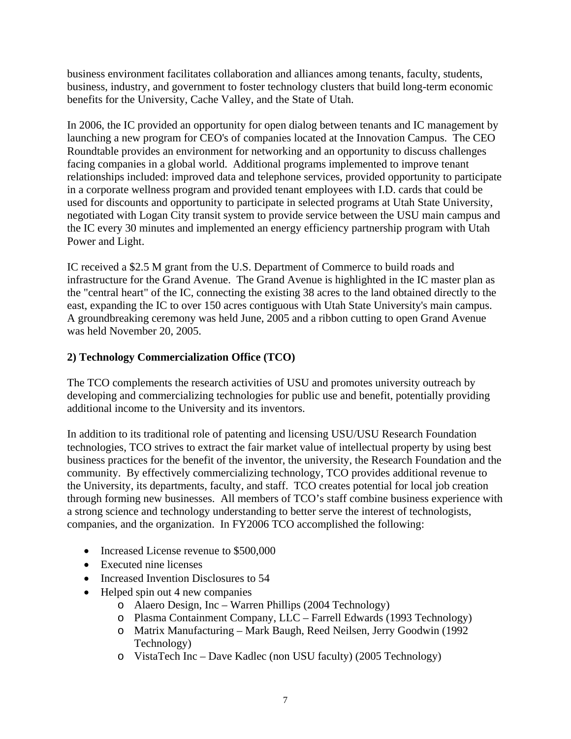business environment facilitates collaboration and alliances among tenants, faculty, students, business, industry, and government to foster technology clusters that build long-term economic benefits for the University, Cache Valley, and the State of Utah.

In 2006, the IC provided an opportunity for open dialog between tenants and IC management by launching a new program for CEO's of companies located at the Innovation Campus. The CEO Roundtable provides an environment for networking and an opportunity to discuss challenges facing companies in a global world. Additional programs implemented to improve tenant relationships included: improved data and telephone services, provided opportunity to participate in a corporate wellness program and provided tenant employees with I.D. cards that could be used for discounts and opportunity to participate in selected programs at Utah State University, negotiated with Logan City transit system to provide service between the USU main campus and the IC every 30 minutes and implemented an energy efficiency partnership program with Utah Power and Light.

IC received a \$2.5 M grant from the U.S. Department of Commerce to build roads and infrastructure for the Grand Avenue. The Grand Avenue is highlighted in the IC master plan as the "central heart" of the IC, connecting the existing 38 acres to the land obtained directly to the east, expanding the IC to over 150 acres contiguous with Utah State University's main campus. A groundbreaking ceremony was held June, 2005 and a ribbon cutting to open Grand Avenue was held November 20, 2005.

## **2) Technology Commercialization Office (TCO)**

The TCO complements the research activities of USU and promotes university outreach by developing and commercializing technologies for public use and benefit, potentially providing additional income to the University and its inventors.

In addition to its traditional role of patenting and licensing USU/USU Research Foundation technologies, TCO strives to extract the fair market value of intellectual property by using best business practices for the benefit of the inventor, the university, the Research Foundation and the community. By effectively commercializing technology, TCO provides additional revenue to the University, its departments, faculty, and staff. TCO creates potential for local job creation through forming new businesses. All members of TCO's staff combine business experience with a strong science and technology understanding to better serve the interest of technologists, companies, and the organization. In FY2006 TCO accomplished the following:

- Increased License revenue to \$500,000
- Executed nine licenses
- Increased Invention Disclosures to 54
- Helped spin out 4 new companies
	- o Alaero Design, Inc Warren Phillips (2004 Technology)
	- o Plasma Containment Company, LLC Farrell Edwards (1993 Technology)
	- o Matrix Manufacturing Mark Baugh, Reed Neilsen, Jerry Goodwin (1992 Technology)
	- o VistaTech Inc Dave Kadlec (non USU faculty) (2005 Technology)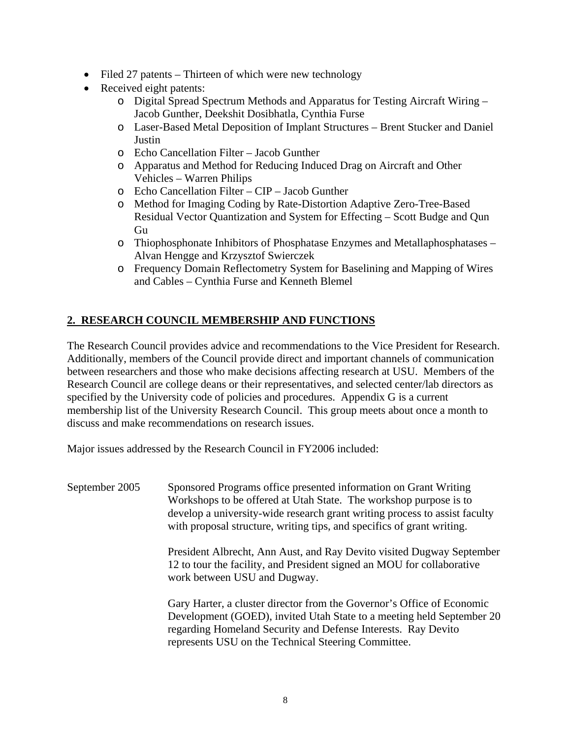- Filed 27 patents Thirteen of which were new technology
- Received eight patents:
	- o Digital Spread Spectrum Methods and Apparatus for Testing Aircraft Wiring Jacob Gunther, Deekshit Dosibhatla, Cynthia Furse
	- o Laser-Based Metal Deposition of Implant Structures Brent Stucker and Daniel Justin
	- o Echo Cancellation Filter Jacob Gunther
	- o Apparatus and Method for Reducing Induced Drag on Aircraft and Other Vehicles – Warren Philips
	- o Echo Cancellation Filter CIP Jacob Gunther
	- o Method for Imaging Coding by Rate-Distortion Adaptive Zero-Tree-Based Residual Vector Quantization and System for Effecting – Scott Budge and Qun Gu
	- o Thiophosphonate Inhibitors of Phosphatase Enzymes and Metallaphosphatases Alvan Hengge and Krzysztof Swierczek
	- o Frequency Domain Reflectometry System for Baselining and Mapping of Wires and Cables – Cynthia Furse and Kenneth Blemel

## **2. RESEARCH COUNCIL MEMBERSHIP AND FUNCTIONS**

The Research Council provides advice and recommendations to the Vice President for Research. Additionally, members of the Council provide direct and important channels of communication between researchers and those who make decisions affecting research at USU. Members of the Research Council are college deans or their representatives, and selected center/lab directors as specified by the University code of policies and procedures. Appendix G is a current membership list of the University Research Council. This group meets about once a month to discuss and make recommendations on research issues.

Major issues addressed by the Research Council in FY2006 included:

September 2005 Sponsored Programs office presented information on Grant Writing Workshops to be offered at Utah State. The workshop purpose is to develop a university-wide research grant writing process to assist faculty with proposal structure, writing tips, and specifics of grant writing.

> President Albrecht, Ann Aust, and Ray Devito visited Dugway September 12 to tour the facility, and President signed an MOU for collaborative work between USU and Dugway.

> Gary Harter, a cluster director from the Governor's Office of Economic Development (GOED), invited Utah State to a meeting held September 20 regarding Homeland Security and Defense Interests. Ray Devito represents USU on the Technical Steering Committee.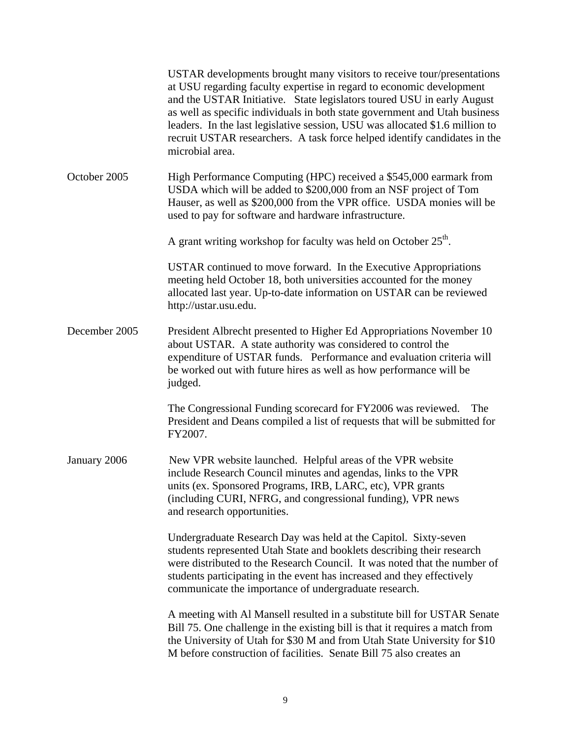|               | USTAR developments brought many visitors to receive tour/presentations<br>at USU regarding faculty expertise in regard to economic development<br>and the USTAR Initiative. State legislators toured USU in early August<br>as well as specific individuals in both state government and Utah business<br>leaders. In the last legislative session, USU was allocated \$1.6 million to<br>recruit USTAR researchers. A task force helped identify candidates in the<br>microbial area. |
|---------------|----------------------------------------------------------------------------------------------------------------------------------------------------------------------------------------------------------------------------------------------------------------------------------------------------------------------------------------------------------------------------------------------------------------------------------------------------------------------------------------|
| October 2005  | High Performance Computing (HPC) received a \$545,000 earmark from<br>USDA which will be added to \$200,000 from an NSF project of Tom<br>Hauser, as well as \$200,000 from the VPR office. USDA monies will be<br>used to pay for software and hardware infrastructure.                                                                                                                                                                                                               |
|               | A grant writing workshop for faculty was held on October 25 <sup>th</sup> .                                                                                                                                                                                                                                                                                                                                                                                                            |
|               | USTAR continued to move forward. In the Executive Appropriations<br>meeting held October 18, both universities accounted for the money<br>allocated last year. Up-to-date information on USTAR can be reviewed<br>http://ustar.usu.edu.                                                                                                                                                                                                                                                |
| December 2005 | President Albrecht presented to Higher Ed Appropriations November 10<br>about USTAR. A state authority was considered to control the<br>expenditure of USTAR funds. Performance and evaluation criteria will<br>be worked out with future hires as well as how performance will be<br>judged.                                                                                                                                                                                          |
|               | The Congressional Funding scorecard for FY2006 was reviewed.<br>The<br>President and Deans compiled a list of requests that will be submitted for<br>FY2007.                                                                                                                                                                                                                                                                                                                           |
| January 2006  | New VPR website launched. Helpful areas of the VPR website<br>include Research Council minutes and agendas, links to the VPR<br>units (ex. Sponsored Programs, IRB, LARC, etc), VPR grants<br>(including CURI, NFRG, and congressional funding), VPR news<br>and research opportunities.                                                                                                                                                                                               |
|               | Undergraduate Research Day was held at the Capitol. Sixty-seven<br>students represented Utah State and booklets describing their research<br>were distributed to the Research Council. It was noted that the number of<br>students participating in the event has increased and they effectively<br>communicate the importance of undergraduate research.                                                                                                                              |
|               | A meeting with Al Mansell resulted in a substitute bill for USTAR Senate<br>Bill 75. One challenge in the existing bill is that it requires a match from<br>the University of Utah for \$30 M and from Utah State University for \$10<br>M before construction of facilities. Senate Bill 75 also creates an                                                                                                                                                                           |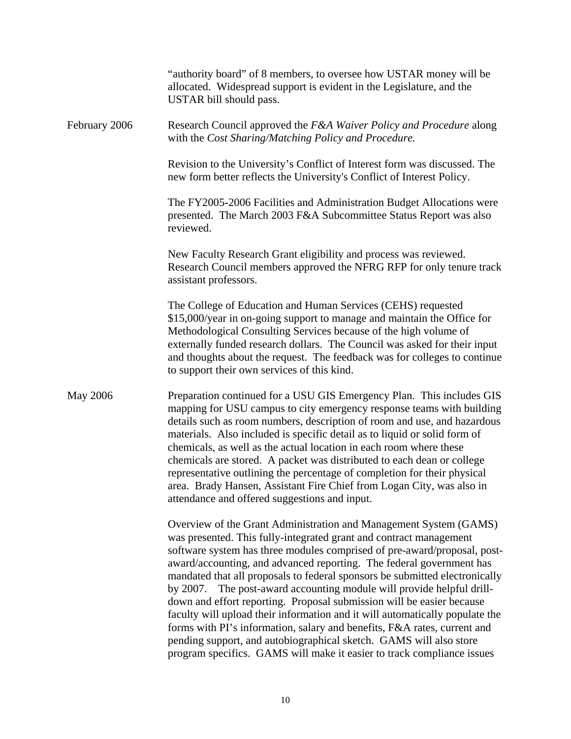|                 | "authority board" of 8 members, to oversee how USTAR money will be<br>allocated. Widespread support is evident in the Legislature, and the<br>USTAR bill should pass.                                                                                                                                                                                                                                                                                                                                                                                                                                                                                                                                                                                                                                                                       |
|-----------------|---------------------------------------------------------------------------------------------------------------------------------------------------------------------------------------------------------------------------------------------------------------------------------------------------------------------------------------------------------------------------------------------------------------------------------------------------------------------------------------------------------------------------------------------------------------------------------------------------------------------------------------------------------------------------------------------------------------------------------------------------------------------------------------------------------------------------------------------|
| February 2006   | Research Council approved the F&A Waiver Policy and Procedure along<br>with the Cost Sharing/Matching Policy and Procedure.                                                                                                                                                                                                                                                                                                                                                                                                                                                                                                                                                                                                                                                                                                                 |
|                 | Revision to the University's Conflict of Interest form was discussed. The<br>new form better reflects the University's Conflict of Interest Policy.                                                                                                                                                                                                                                                                                                                                                                                                                                                                                                                                                                                                                                                                                         |
|                 | The FY2005-2006 Facilities and Administration Budget Allocations were<br>presented. The March 2003 F&A Subcommittee Status Report was also<br>reviewed.                                                                                                                                                                                                                                                                                                                                                                                                                                                                                                                                                                                                                                                                                     |
|                 | New Faculty Research Grant eligibility and process was reviewed.<br>Research Council members approved the NFRG RFP for only tenure track<br>assistant professors.                                                                                                                                                                                                                                                                                                                                                                                                                                                                                                                                                                                                                                                                           |
|                 | The College of Education and Human Services (CEHS) requested<br>\$15,000/year in on-going support to manage and maintain the Office for<br>Methodological Consulting Services because of the high volume of<br>externally funded research dollars. The Council was asked for their input<br>and thoughts about the request. The feedback was for colleges to continue<br>to support their own services of this kind.                                                                                                                                                                                                                                                                                                                                                                                                                        |
| <b>May 2006</b> | Preparation continued for a USU GIS Emergency Plan. This includes GIS<br>mapping for USU campus to city emergency response teams with building<br>details such as room numbers, description of room and use, and hazardous<br>materials. Also included is specific detail as to liquid or solid form of<br>chemicals, as well as the actual location in each room where these<br>chemicals are stored. A packet was distributed to each dean or college<br>representative outlining the percentage of completion for their physical<br>area. Brady Hansen, Assistant Fire Chief from Logan City, was also in<br>attendance and offered suggestions and input.                                                                                                                                                                               |
|                 | Overview of the Grant Administration and Management System (GAMS)<br>was presented. This fully-integrated grant and contract management<br>software system has three modules comprised of pre-award/proposal, post-<br>award/accounting, and advanced reporting. The federal government has<br>mandated that all proposals to federal sponsors be submitted electronically<br>The post-award accounting module will provide helpful drill-<br>by 2007.<br>down and effort reporting. Proposal submission will be easier because<br>faculty will upload their information and it will automatically populate the<br>forms with PI's information, salary and benefits, F&A rates, current and<br>pending support, and autobiographical sketch. GAMS will also store<br>program specifics. GAMS will make it easier to track compliance issues |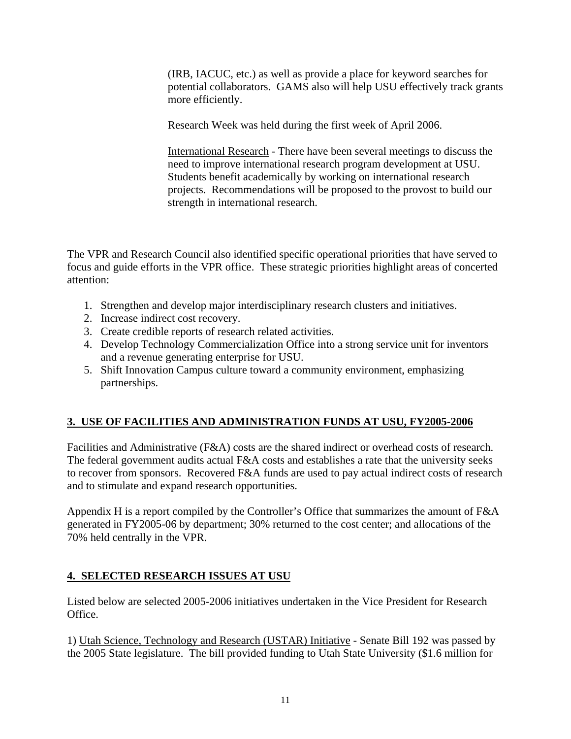(IRB, IACUC, etc.) as well as provide a place for keyword searches for potential collaborators. GAMS also will help USU effectively track grants more efficiently.

Research Week was held during the first week of April 2006.

International Research - There have been several meetings to discuss the need to improve international research program development at USU. Students benefit academically by working on international research projects. Recommendations will be proposed to the provost to build our strength in international research.

The VPR and Research Council also identified specific operational priorities that have served to focus and guide efforts in the VPR office. These strategic priorities highlight areas of concerted attention:

- 1. Strengthen and develop major interdisciplinary research clusters and initiatives.
- 2. Increase indirect cost recovery.
- 3. Create credible reports of research related activities.
- 4. Develop Technology Commercialization Office into a strong service unit for inventors and a revenue generating enterprise for USU.
- 5. Shift Innovation Campus culture toward a community environment, emphasizing partnerships.

## **3. USE OF FACILITIES AND ADMINISTRATION FUNDS AT USU, FY2005-2006**

Facilities and Administrative (F&A) costs are the shared indirect or overhead costs of research. The federal government audits actual F&A costs and establishes a rate that the university seeks to recover from sponsors. Recovered F&A funds are used to pay actual indirect costs of research and to stimulate and expand research opportunities.

Appendix H is a report compiled by the Controller's Office that summarizes the amount of F&A generated in FY2005-06 by department; 30% returned to the cost center; and allocations of the 70% held centrally in the VPR.

## **4. SELECTED RESEARCH ISSUES AT USU**

Listed below are selected 2005-2006 initiatives undertaken in the Vice President for Research Office.

1) Utah Science, Technology and Research (USTAR) Initiative - Senate Bill 192 was passed by the 2005 State legislature. The bill provided funding to Utah State University (\$1.6 million for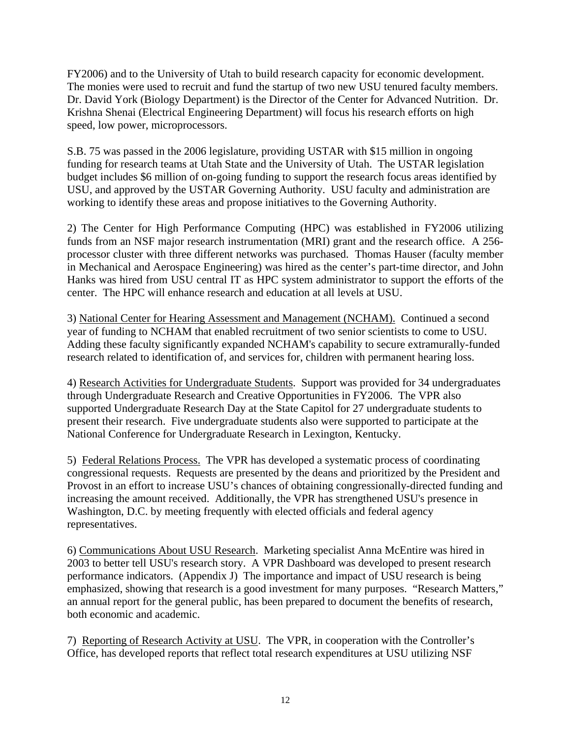FY2006) and to the University of Utah to build research capacity for economic development. The monies were used to recruit and fund the startup of two new USU tenured faculty members. Dr. David York (Biology Department) is the Director of the Center for Advanced Nutrition. Dr. Krishna Shenai (Electrical Engineering Department) will focus his research efforts on high speed, low power, microprocessors.

S.B. 75 was passed in the 2006 legislature, providing USTAR with \$15 million in ongoing funding for research teams at Utah State and the University of Utah. The USTAR legislation budget includes \$6 million of on-going funding to support the research focus areas identified by USU, and approved by the USTAR Governing Authority. USU faculty and administration are working to identify these areas and propose initiatives to the Governing Authority.

2) The Center for High Performance Computing (HPC) was established in FY2006 utilizing funds from an NSF major research instrumentation (MRI) grant and the research office. A 256 processor cluster with three different networks was purchased. Thomas Hauser (faculty member in Mechanical and Aerospace Engineering) was hired as the center's part-time director, and John Hanks was hired from USU central IT as HPC system administrator to support the efforts of the center. The HPC will enhance research and education at all levels at USU.

3) National Center for Hearing Assessment and Management (NCHAM). Continued a second year of funding to NCHAM that enabled recruitment of two senior scientists to come to USU. Adding these faculty significantly expanded NCHAM's capability to secure extramurally-funded research related to identification of, and services for, children with permanent hearing loss.

4) Research Activities for Undergraduate Students. Support was provided for 34 undergraduates through Undergraduate Research and Creative Opportunities in FY2006. The VPR also supported Undergraduate Research Day at the State Capitol for 27 undergraduate students to present their research. Five undergraduate students also were supported to participate at the National Conference for Undergraduate Research in Lexington, Kentucky.

5)Federal Relations Process. The VPR has developed a systematic process of coordinating congressional requests. Requests are presented by the deans and prioritized by the President and Provost in an effort to increase USU's chances of obtaining congressionally-directed funding and increasing the amount received. Additionally, the VPR has strengthened USU's presence in Washington, D.C. by meeting frequently with elected officials and federal agency representatives.

6) Communications About USU Research. Marketing specialist Anna McEntire was hired in 2003 to better tell USU's research story. A VPR Dashboard was developed to present research performance indicators. (Appendix J) The importance and impact of USU research is being emphasized, showing that research is a good investment for many purposes. "Research Matters," an annual report for the general public, has been prepared to document the benefits of research, both economic and academic.

7) Reporting of Research Activity at USU. The VPR, in cooperation with the Controller's Office, has developed reports that reflect total research expenditures at USU utilizing NSF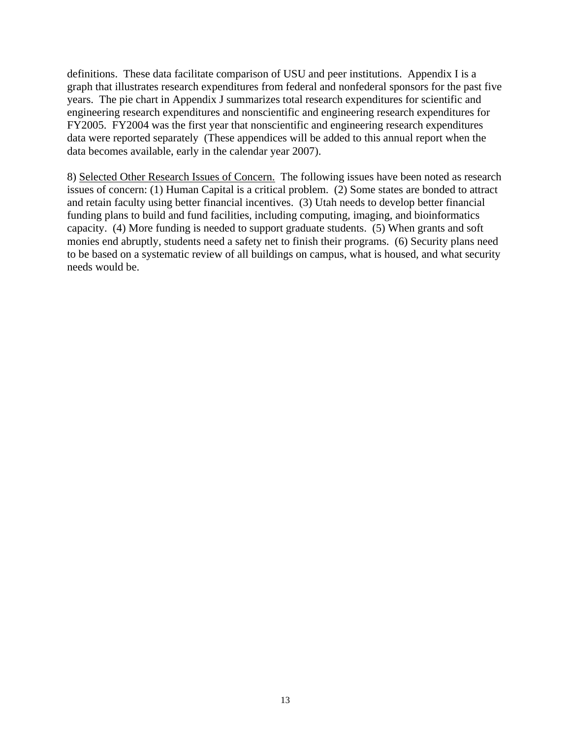definitions. These data facilitate comparison of USU and peer institutions. Appendix I is a graph that illustrates research expenditures from federal and nonfederal sponsors for the past five years. The pie chart in Appendix J summarizes total research expenditures for scientific and engineering research expenditures and nonscientific and engineering research expenditures for FY2005. FY2004 was the first year that nonscientific and engineering research expenditures data were reported separately (These appendices will be added to this annual report when the data becomes available, early in the calendar year 2007).

8) Selected Other Research Issues of Concern. The following issues have been noted as research issues of concern: (1) Human Capital is a critical problem. (2) Some states are bonded to attract and retain faculty using better financial incentives. (3) Utah needs to develop better financial funding plans to build and fund facilities, including computing, imaging, and bioinformatics capacity. (4) More funding is needed to support graduate students. (5) When grants and soft monies end abruptly, students need a safety net to finish their programs. (6) Security plans need to be based on a systematic review of all buildings on campus, what is housed, and what security needs would be.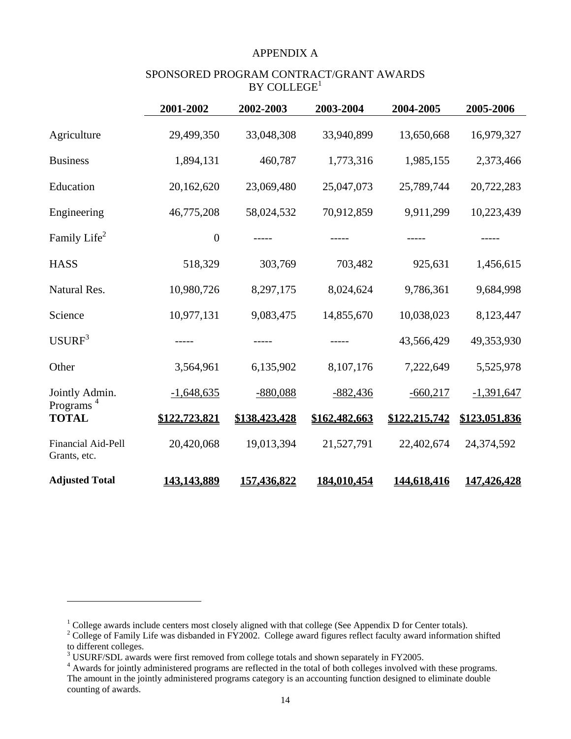#### APPENDIX A

#### SPONSORED PROGRAM CONTRACT/GRANT AWARDS  $BY$  COLLEGE<sup>1</sup>

|                                       | 2001-2002        | 2002-2003          | 2003-2004     | 2004-2005     | 2005-2006     |
|---------------------------------------|------------------|--------------------|---------------|---------------|---------------|
| Agriculture                           | 29,499,350       | 33,048,308         | 33,940,899    | 13,650,668    | 16,979,327    |
| <b>Business</b>                       | 1,894,131        | 460,787            | 1,773,316     | 1,985,155     | 2,373,466     |
| Education                             | 20,162,620       | 23,069,480         | 25,047,073    | 25,789,744    | 20,722,283    |
| Engineering                           | 46,775,208       | 58,024,532         | 70,912,859    | 9,911,299     | 10,223,439    |
| Family Life <sup>2</sup>              | $\boldsymbol{0}$ |                    |               |               |               |
| <b>HASS</b>                           | 518,329          | 303,769            | 703,482       | 925,631       | 1,456,615     |
| Natural Res.                          | 10,980,726       | 8,297,175          | 8,024,624     | 9,786,361     | 9,684,998     |
| Science                               | 10,977,131       | 9,083,475          | 14,855,670    | 10,038,023    | 8,123,447     |
| USURF <sup>3</sup>                    |                  | -----              |               | 43,566,429    | 49,353,930    |
| Other                                 | 3,564,961        | 6,135,902          | 8,107,176     | 7,222,649     | 5,525,978     |
| Jointly Admin.                        | $-1,648,635$     | $-880,088$         | $-882,436$    | $-660,217$    | $-1,391,647$  |
| Programs <sup>4</sup><br><b>TOTAL</b> | \$122,723,821    | \$138,423,428      | \$162,482,663 | \$122,215,742 | \$123,051,836 |
| Financial Aid-Pell<br>Grants, etc.    | 20,420,068       | 19,013,394         | 21,527,791    | 22,402,674    | 24,374,592    |
| <b>Adjusted Total</b>                 | 143,143,889      | <u>157,436,822</u> | 184,010,454   | 144,618,416   | 147,426,428   |

1

<sup>&</sup>lt;sup>1</sup> College awards include centers most closely aligned with that college (See Appendix D for Center totals).<br><sup>2</sup> College of Family Life was disbanded in FY2002. College award figures reflect faculty award information shi to different colleges.

 $3$  USURF/SDL awards were first removed from college totals and shown separately in FY2005.

<sup>&</sup>lt;sup>4</sup> Awards for jointly administered programs are reflected in the total of both colleges involved with these programs. The amount in the jointly administered programs category is an accounting function designed to eliminate double counting of awards.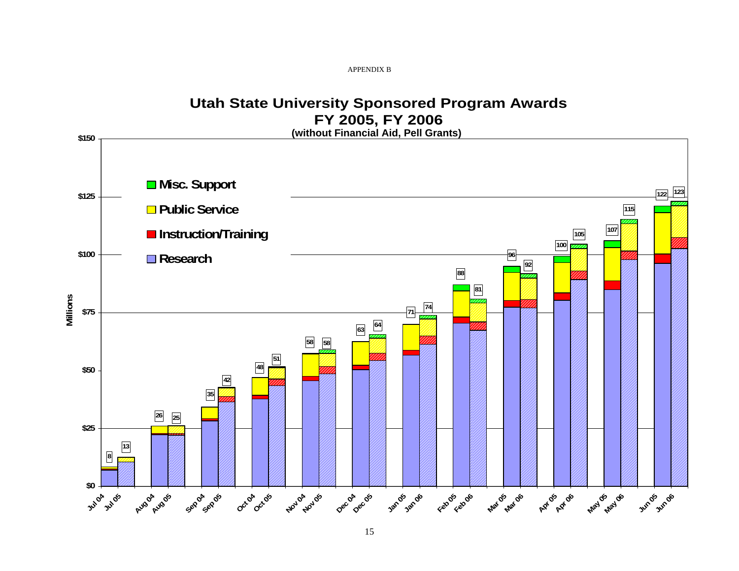APPENDIX B

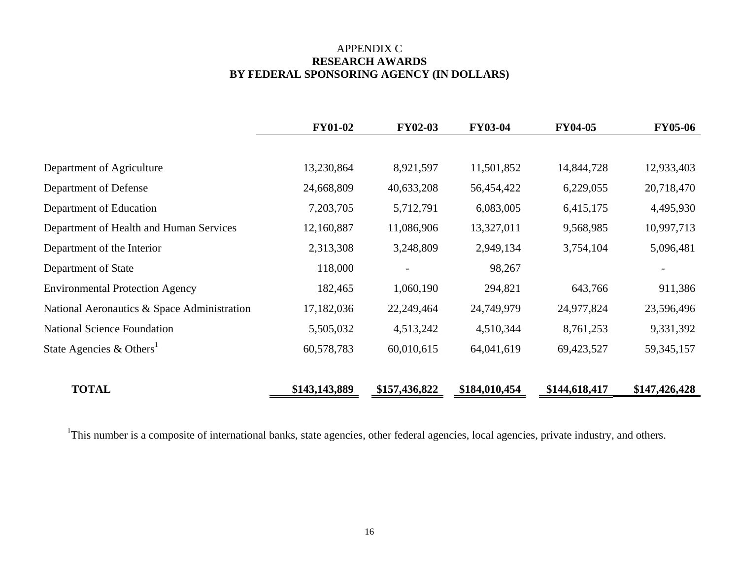## APPENDIX C **RESEARCH AWARDS BY FEDERAL SPONSORING AGENCY (IN DOLLARS)**

|                                             | <b>FY01-02</b> | <b>FY02-03</b> | <b>FY03-04</b> | <b>FY04-05</b> | <b>FY05-06</b> |
|---------------------------------------------|----------------|----------------|----------------|----------------|----------------|
|                                             |                |                |                |                |                |
| Department of Agriculture                   | 13,230,864     | 8,921,597      | 11,501,852     | 14,844,728     | 12,933,403     |
| Department of Defense                       | 24,668,809     | 40,633,208     | 56,454,422     | 6,229,055      | 20,718,470     |
| Department of Education                     | 7,203,705      | 5,712,791      | 6,083,005      | 6,415,175      | 4,495,930      |
| Department of Health and Human Services     | 12,160,887     | 11,086,906     | 13,327,011     | 9,568,985      | 10,997,713     |
| Department of the Interior                  | 2,313,308      | 3,248,809      | 2,949,134      | 3,754,104      | 5,096,481      |
| Department of State                         | 118,000        |                | 98,267         |                |                |
| <b>Environmental Protection Agency</b>      | 182,465        | 1,060,190      | 294,821        | 643,766        | 911,386        |
| National Aeronautics & Space Administration | 17,182,036     | 22,249,464     | 24,749,979     | 24,977,824     | 23,596,496     |
| <b>National Science Foundation</b>          | 5,505,032      | 4,513,242      | 4,510,344      | 8,761,253      | 9,331,392      |
| State Agencies & Others <sup>1</sup>        | 60,578,783     | 60,010,615     | 64,041,619     | 69,423,527     | 59, 345, 157   |
| <b>TOTAL</b>                                | \$143,143,889  | \$157,436,822  | \$184,010,454  | \$144,618,417  | \$147,426,428  |

<sup>1</sup>This number is a composite of international banks, state agencies, other federal agencies, local agencies, private industry, and others.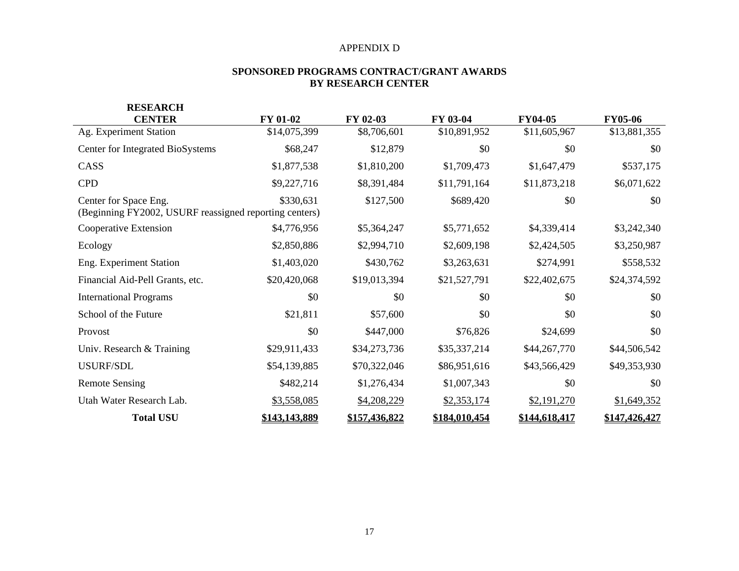#### APPENDIX D

#### **SPONSORED PROGRAMS CONTRACT/GRANT AWARDS BY RESEARCH CENTER**

| <b>RESEARCH</b>                                                                 |                 |               |               |                |                |
|---------------------------------------------------------------------------------|-----------------|---------------|---------------|----------------|----------------|
| <b>CENTER</b>                                                                   | <b>FY 01-02</b> | FY 02-03      | FY 03-04      | <b>FY04-05</b> | <b>FY05-06</b> |
| Ag. Experiment Station                                                          | \$14,075,399    | \$8,706,601   | \$10,891,952  | \$11,605,967   | \$13,881,355   |
| Center for Integrated BioSystems                                                | \$68,247        | \$12,879      | \$0           | \$0            | \$0            |
| CASS                                                                            | \$1,877,538     | \$1,810,200   | \$1,709,473   | \$1,647,479    | \$537,175      |
| <b>CPD</b>                                                                      | \$9,227,716     | \$8,391,484   | \$11,791,164  | \$11,873,218   | \$6,071,622    |
| Center for Space Eng.<br>(Beginning FY2002, USURF reassigned reporting centers) | \$330,631       | \$127,500     | \$689,420     | \$0            | \$0            |
| Cooperative Extension                                                           | \$4,776,956     | \$5,364,247   | \$5,771,652   | \$4,339,414    | \$3,242,340    |
| Ecology                                                                         | \$2,850,886     | \$2,994,710   | \$2,609,198   | \$2,424,505    | \$3,250,987    |
| Eng. Experiment Station                                                         | \$1,403,020     | \$430,762     | \$3,263,631   | \$274,991      | \$558,532      |
| Financial Aid-Pell Grants, etc.                                                 | \$20,420,068    | \$19,013,394  | \$21,527,791  | \$22,402,675   | \$24,374,592   |
| <b>International Programs</b>                                                   | \$0             | \$0           | \$0           | \$0            | \$0            |
| School of the Future                                                            | \$21,811        | \$57,600      | \$0           | \$0            | \$0            |
| Provost                                                                         | \$0             | \$447,000     | \$76,826      | \$24,699       | \$0            |
| Univ. Research & Training                                                       | \$29,911,433    | \$34,273,736  | \$35,337,214  | \$44,267,770   | \$44,506,542   |
| USURF/SDL                                                                       | \$54,139,885    | \$70,322,046  | \$86,951,616  | \$43,566,429   | \$49,353,930   |
| <b>Remote Sensing</b>                                                           | \$482,214       | \$1,276,434   | \$1,007,343   | \$0            | \$0            |
| Utah Water Research Lab.                                                        | \$3,558,085     | \$4,208,229   | \$2,353,174   | \$2,191,270    | \$1,649,352    |
| <b>Total USU</b>                                                                | \$143,143,889   | \$157,436,822 | \$184,010,454 | \$144,618,417  | \$147,426,427  |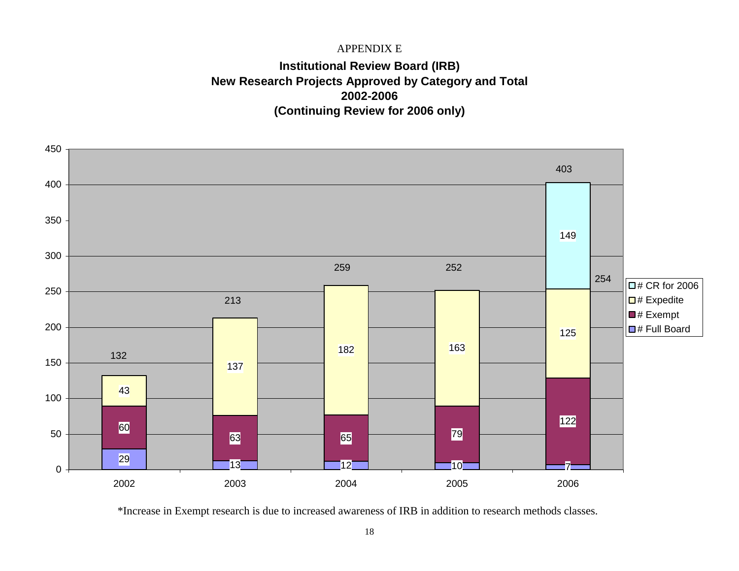### APPENDIX E

# **Institutional Review Board (IRB) New Research Projects Approved by Category and Total 2002-2006(Continuing Review for 2006 only)**



\*Increase in Exempt research is due to increased awareness of IRB in addition to research methods classes.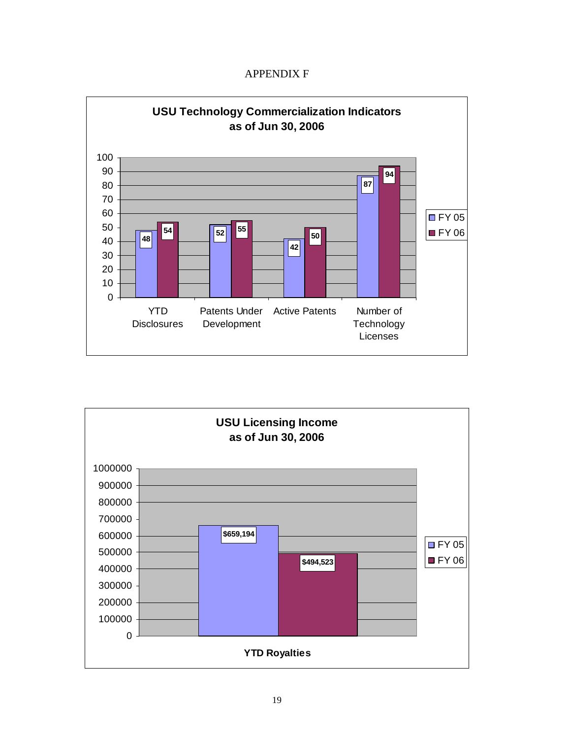## APPENDIX F



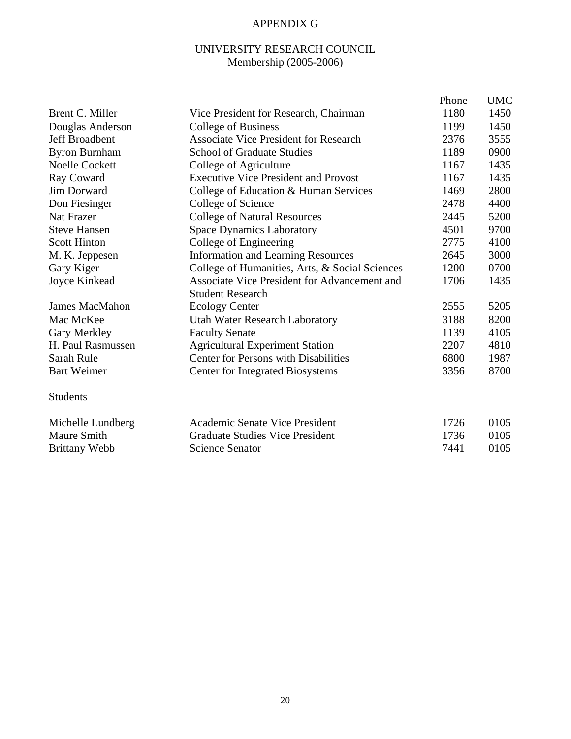# APPENDIX G

## UNIVERSITY RESEARCH COUNCIL Membership (2005-2006)

|                       |                                                     | Phone | <b>UMC</b> |
|-----------------------|-----------------------------------------------------|-------|------------|
| Brent C. Miller       | Vice President for Research, Chairman               | 1180  | 1450       |
| Douglas Anderson      | College of Business                                 | 1199  | 1450       |
| Jeff Broadbent        | <b>Associate Vice President for Research</b>        | 2376  | 3555       |
| <b>Byron Burnham</b>  | <b>School of Graduate Studies</b>                   | 1189  | 0900       |
| <b>Noelle Cockett</b> | College of Agriculture                              | 1167  | 1435       |
| Ray Coward            | <b>Executive Vice President and Provost</b>         | 1167  | 1435       |
| <b>Jim Dorward</b>    | College of Education & Human Services               | 1469  | 2800       |
| Don Fiesinger         | College of Science                                  | 2478  | 4400       |
| <b>Nat Frazer</b>     | <b>College of Natural Resources</b>                 | 2445  | 5200       |
| <b>Steve Hansen</b>   | <b>Space Dynamics Laboratory</b>                    | 4501  | 9700       |
| <b>Scott Hinton</b>   | College of Engineering                              | 2775  | 4100       |
| M. K. Jeppesen        | <b>Information and Learning Resources</b>           | 2645  | 3000       |
| Gary Kiger            | College of Humanities, Arts, & Social Sciences      | 1200  | 0700       |
| Joyce Kinkead         | <b>Associate Vice President for Advancement and</b> | 1706  | 1435       |
|                       | <b>Student Research</b>                             |       |            |
| <b>James MacMahon</b> | <b>Ecology Center</b>                               | 2555  | 5205       |
| Mac McKee             | Utah Water Research Laboratory                      | 3188  | 8200       |
| Gary Merkley          | <b>Faculty Senate</b>                               | 1139  | 4105       |
| H. Paul Rasmussen     | <b>Agricultural Experiment Station</b>              | 2207  | 4810       |
| Sarah Rule            | <b>Center for Persons with Disabilities</b>         | 6800  | 1987       |
| <b>Bart Weimer</b>    | <b>Center for Integrated Biosystems</b>             | 3356  | 8700       |
| <b>Students</b>       |                                                     |       |            |
| Michelle Lundberg     | Academic Senate Vice President                      | 1726  | 0105       |
| <b>Maure Smith</b>    | <b>Graduate Studies Vice President</b>              | 1736  | 0105       |
| <b>Brittany Webb</b>  | <b>Science Senator</b>                              | 7441  | 0105       |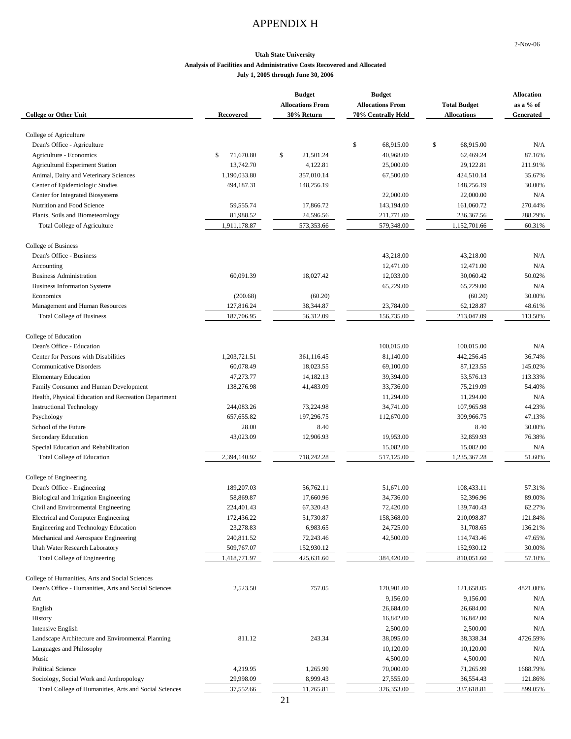## APPENDIX H

2-Nov-06

#### **Utah State University Analysis of Facilities and Administrative Costs Recovered and Allocated July 1, 2005 through June 30, 2006**

| College of Agriculture<br>\$<br>\$<br>Dean's Office - Agriculture<br>68,915.00<br>68,915.00<br>N/A<br>Agriculture - Economics<br>71,670.80<br>\$<br>21,501.24<br>62,469.24<br>87.16%<br>\$<br>40,968.00<br><b>Agricultural Experiment Station</b><br>13,742.70<br>4,122.81<br>25,000.00<br>29,122.81<br>211.91%<br>Animal, Dairy and Veterinary Sciences<br>1,190,033.80<br>357,010.14<br>67,500.00<br>424,510.14<br>35.67%<br>Center of Epidemiologic Studies<br>494,187.31<br>148,256.19<br>148,256.19<br>30.00%<br>22,000.00<br>Center for Integrated Biosystems<br>22,000.00<br>N/A<br>Nutrition and Food Science<br>59,555.74<br>17,866.72<br>161,060.72<br>270.44%<br>143,194.00<br>Plants, Soils and Biometeorology<br>81,988.52<br>24,596.56<br>211,771.00<br>236,367.56<br>288.29%<br>1,911,178.87<br>573,353.66<br>579,348.00<br>1,152,701.66<br>60.31%<br><b>Total College of Agriculture</b><br>College of Business<br>Dean's Office - Business<br>43,218.00<br>43,218.00<br>N/A<br>12,471.00<br>12,471.00<br>N/A<br>Accounting<br>60.091.39<br>18,027.42<br>12,033.00<br>30,060.42<br>50.02%<br><b>Business Administration</b><br><b>Business Information Systems</b><br>65,229.00<br>65,229.00<br>N/A<br>30.00%<br>Economics<br>(200.68)<br>(60.20)<br>(60.20)<br>Management and Human Resources<br>127,816.24<br>38,344.87<br>23,784.00<br>62,128.87<br>48.61%<br><b>Total College of Business</b><br>187,706.95<br>56,312.09<br>156,735.00<br>213,047.09<br>113.50%<br>College of Education<br>Dean's Office - Education<br>100,015.00<br>100,015.00<br>N/A<br>1,203,721.51<br>361,116.45<br>442,256.45<br>36.74%<br>Center for Persons with Disabilities<br>81,140.00<br><b>Communicative Disorders</b><br>60,078.49<br>18,023.55<br>69,100.00<br>87,123.55<br>145.02%<br>53,576.13<br><b>Elementary Education</b><br>47,273.77<br>14,182.13<br>39,394.00<br>113.33%<br>41,483.09<br>138,276.98<br>75,219.09<br>54.40%<br>Family Consumer and Human Development<br>33,736.00<br>11,294.00<br>Health, Physical Education and Recreation Department<br>11,294.00<br>N/A<br>73,224.98<br>34,741.00<br>107,965.98<br>44.23%<br><b>Instructional Technology</b><br>244,083.26<br>Psychology<br>657, 655.82<br>197,296.75<br>112,670.00<br>309,966.75<br>47.13%<br>School of the Future<br>28.00<br>8.40<br>8.40<br>30.00%<br>43,023.09<br>12,906.93<br>32,859.93<br>76.38%<br>Secondary Education<br>19,953.00<br>15,082.00<br>Special Education and Rehabilitation<br>15,082.00<br>N/A<br>2,394,140.92<br>718,242.28<br>51.60%<br><b>Total College of Education</b><br>517,125.00<br>1,235,367.28<br>College of Engineering<br>Dean's Office - Engineering<br>189,207.03<br>108,433.11<br>57.31%<br>56,762.11<br>51,671.00<br>58,869.87<br>17,660.96<br>34,736.00<br>52,396.96<br>89.00%<br>Biological and Irrigation Engineering<br>67,320.43<br>224,401.43<br>72,420.00<br>139,740.43<br>62.27%<br>Civil and Environmental Engineering<br>Electrical and Computer Engineering<br>210,098.87<br>121.84%<br>172,436.22<br>51,730.87<br>158,368.00<br>Engineering and Technology Education<br>23,278.83<br>6,983.65<br>24,725.00<br>31,708.65<br>136.21%<br>Mechanical and Aerospace Engineering<br>47.65%<br>240,811.52<br>72,243.46<br>42,500.00<br>114,743.46<br>Utah Water Research Laboratory<br>152,930.12<br>30.00%<br>509,767.07<br>152,930.12<br>425,631.60<br>Total College of Engineering<br>1,418,771.97<br>384,420.00<br>810,051.60<br>57.10%<br>College of Humanities, Arts and Social Sciences<br>757.05<br>Dean's Office - Humanities, Arts and Social Sciences<br>2,523.50<br>120,901.00<br>121,658.05<br>4821.00%<br>9,156.00<br>9,156.00<br>N/A<br>Art<br>English<br>26,684.00<br>26,684.00<br>N/A<br>History<br>16,842.00<br>N/A<br>16,842.00<br><b>Intensive English</b><br>2,500.00<br>2,500.00<br>N/A<br>Landscape Architecture and Environmental Planning<br>811.12<br>243.34<br>38,095.00<br>38,338.34<br>4726.59%<br>10,120.00<br>Languages and Philosophy<br>10,120.00<br>N/A<br>Music<br>4,500.00<br>4,500.00<br>N/A<br><b>Political Science</b><br>4,219.95<br>1,265.99<br>70,000.00<br>71,265.99<br>1688.79%<br>Sociology, Social Work and Anthropology<br>29,998.09<br>8,999.43<br>36,554.43<br>27,555.00<br>121.86% | <b>College or Other Unit</b>                          | <b>Recovered</b> | <b>Budget</b><br><b>Allocations From</b><br>30% Return | <b>Budget</b><br><b>Allocations From</b><br>70% Centrally Held | <b>Total Budget</b><br><b>Allocations</b> | <b>Allocation</b><br>as a % of<br>Generated |
|-----------------------------------------------------------------------------------------------------------------------------------------------------------------------------------------------------------------------------------------------------------------------------------------------------------------------------------------------------------------------------------------------------------------------------------------------------------------------------------------------------------------------------------------------------------------------------------------------------------------------------------------------------------------------------------------------------------------------------------------------------------------------------------------------------------------------------------------------------------------------------------------------------------------------------------------------------------------------------------------------------------------------------------------------------------------------------------------------------------------------------------------------------------------------------------------------------------------------------------------------------------------------------------------------------------------------------------------------------------------------------------------------------------------------------------------------------------------------------------------------------------------------------------------------------------------------------------------------------------------------------------------------------------------------------------------------------------------------------------------------------------------------------------------------------------------------------------------------------------------------------------------------------------------------------------------------------------------------------------------------------------------------------------------------------------------------------------------------------------------------------------------------------------------------------------------------------------------------------------------------------------------------------------------------------------------------------------------------------------------------------------------------------------------------------------------------------------------------------------------------------------------------------------------------------------------------------------------------------------------------------------------------------------------------------------------------------------------------------------------------------------------------------------------------------------------------------------------------------------------------------------------------------------------------------------------------------------------------------------------------------------------------------------------------------------------------------------------------------------------------------------------------------------------------------------------------------------------------------------------------------------------------------------------------------------------------------------------------------------------------------------------------------------------------------------------------------------------------------------------------------------------------------------------------------------------------------------------------------------------------------------------------------------------------------------------------------------------------------------------------------------------------------------------------------------------------------------------------------------------------------------------------------------------------------------------------------------------------------------------------------------------------------------------------------------------------------------------------------------------------------------------------------------------------------------------------------------------------------------------------------------------|-------------------------------------------------------|------------------|--------------------------------------------------------|----------------------------------------------------------------|-------------------------------------------|---------------------------------------------|
|                                                                                                                                                                                                                                                                                                                                                                                                                                                                                                                                                                                                                                                                                                                                                                                                                                                                                                                                                                                                                                                                                                                                                                                                                                                                                                                                                                                                                                                                                                                                                                                                                                                                                                                                                                                                                                                                                                                                                                                                                                                                                                                                                                                                                                                                                                                                                                                                                                                                                                                                                                                                                                                                                                                                                                                                                                                                                                                                                                                                                                                                                                                                                                                                                                                                                                                                                                                                                                                                                                                                                                                                                                                                                                                                                                                                                                                                                                                                                                                                                                                                                                                                                                                                                                                                 |                                                       |                  |                                                        |                                                                |                                           |                                             |
|                                                                                                                                                                                                                                                                                                                                                                                                                                                                                                                                                                                                                                                                                                                                                                                                                                                                                                                                                                                                                                                                                                                                                                                                                                                                                                                                                                                                                                                                                                                                                                                                                                                                                                                                                                                                                                                                                                                                                                                                                                                                                                                                                                                                                                                                                                                                                                                                                                                                                                                                                                                                                                                                                                                                                                                                                                                                                                                                                                                                                                                                                                                                                                                                                                                                                                                                                                                                                                                                                                                                                                                                                                                                                                                                                                                                                                                                                                                                                                                                                                                                                                                                                                                                                                                                 |                                                       |                  |                                                        |                                                                |                                           |                                             |
|                                                                                                                                                                                                                                                                                                                                                                                                                                                                                                                                                                                                                                                                                                                                                                                                                                                                                                                                                                                                                                                                                                                                                                                                                                                                                                                                                                                                                                                                                                                                                                                                                                                                                                                                                                                                                                                                                                                                                                                                                                                                                                                                                                                                                                                                                                                                                                                                                                                                                                                                                                                                                                                                                                                                                                                                                                                                                                                                                                                                                                                                                                                                                                                                                                                                                                                                                                                                                                                                                                                                                                                                                                                                                                                                                                                                                                                                                                                                                                                                                                                                                                                                                                                                                                                                 |                                                       |                  |                                                        |                                                                |                                           |                                             |
|                                                                                                                                                                                                                                                                                                                                                                                                                                                                                                                                                                                                                                                                                                                                                                                                                                                                                                                                                                                                                                                                                                                                                                                                                                                                                                                                                                                                                                                                                                                                                                                                                                                                                                                                                                                                                                                                                                                                                                                                                                                                                                                                                                                                                                                                                                                                                                                                                                                                                                                                                                                                                                                                                                                                                                                                                                                                                                                                                                                                                                                                                                                                                                                                                                                                                                                                                                                                                                                                                                                                                                                                                                                                                                                                                                                                                                                                                                                                                                                                                                                                                                                                                                                                                                                                 |                                                       |                  |                                                        |                                                                |                                           |                                             |
|                                                                                                                                                                                                                                                                                                                                                                                                                                                                                                                                                                                                                                                                                                                                                                                                                                                                                                                                                                                                                                                                                                                                                                                                                                                                                                                                                                                                                                                                                                                                                                                                                                                                                                                                                                                                                                                                                                                                                                                                                                                                                                                                                                                                                                                                                                                                                                                                                                                                                                                                                                                                                                                                                                                                                                                                                                                                                                                                                                                                                                                                                                                                                                                                                                                                                                                                                                                                                                                                                                                                                                                                                                                                                                                                                                                                                                                                                                                                                                                                                                                                                                                                                                                                                                                                 |                                                       |                  |                                                        |                                                                |                                           |                                             |
|                                                                                                                                                                                                                                                                                                                                                                                                                                                                                                                                                                                                                                                                                                                                                                                                                                                                                                                                                                                                                                                                                                                                                                                                                                                                                                                                                                                                                                                                                                                                                                                                                                                                                                                                                                                                                                                                                                                                                                                                                                                                                                                                                                                                                                                                                                                                                                                                                                                                                                                                                                                                                                                                                                                                                                                                                                                                                                                                                                                                                                                                                                                                                                                                                                                                                                                                                                                                                                                                                                                                                                                                                                                                                                                                                                                                                                                                                                                                                                                                                                                                                                                                                                                                                                                                 |                                                       |                  |                                                        |                                                                |                                           |                                             |
|                                                                                                                                                                                                                                                                                                                                                                                                                                                                                                                                                                                                                                                                                                                                                                                                                                                                                                                                                                                                                                                                                                                                                                                                                                                                                                                                                                                                                                                                                                                                                                                                                                                                                                                                                                                                                                                                                                                                                                                                                                                                                                                                                                                                                                                                                                                                                                                                                                                                                                                                                                                                                                                                                                                                                                                                                                                                                                                                                                                                                                                                                                                                                                                                                                                                                                                                                                                                                                                                                                                                                                                                                                                                                                                                                                                                                                                                                                                                                                                                                                                                                                                                                                                                                                                                 |                                                       |                  |                                                        |                                                                |                                           |                                             |
|                                                                                                                                                                                                                                                                                                                                                                                                                                                                                                                                                                                                                                                                                                                                                                                                                                                                                                                                                                                                                                                                                                                                                                                                                                                                                                                                                                                                                                                                                                                                                                                                                                                                                                                                                                                                                                                                                                                                                                                                                                                                                                                                                                                                                                                                                                                                                                                                                                                                                                                                                                                                                                                                                                                                                                                                                                                                                                                                                                                                                                                                                                                                                                                                                                                                                                                                                                                                                                                                                                                                                                                                                                                                                                                                                                                                                                                                                                                                                                                                                                                                                                                                                                                                                                                                 |                                                       |                  |                                                        |                                                                |                                           |                                             |
|                                                                                                                                                                                                                                                                                                                                                                                                                                                                                                                                                                                                                                                                                                                                                                                                                                                                                                                                                                                                                                                                                                                                                                                                                                                                                                                                                                                                                                                                                                                                                                                                                                                                                                                                                                                                                                                                                                                                                                                                                                                                                                                                                                                                                                                                                                                                                                                                                                                                                                                                                                                                                                                                                                                                                                                                                                                                                                                                                                                                                                                                                                                                                                                                                                                                                                                                                                                                                                                                                                                                                                                                                                                                                                                                                                                                                                                                                                                                                                                                                                                                                                                                                                                                                                                                 |                                                       |                  |                                                        |                                                                |                                           |                                             |
|                                                                                                                                                                                                                                                                                                                                                                                                                                                                                                                                                                                                                                                                                                                                                                                                                                                                                                                                                                                                                                                                                                                                                                                                                                                                                                                                                                                                                                                                                                                                                                                                                                                                                                                                                                                                                                                                                                                                                                                                                                                                                                                                                                                                                                                                                                                                                                                                                                                                                                                                                                                                                                                                                                                                                                                                                                                                                                                                                                                                                                                                                                                                                                                                                                                                                                                                                                                                                                                                                                                                                                                                                                                                                                                                                                                                                                                                                                                                                                                                                                                                                                                                                                                                                                                                 |                                                       |                  |                                                        |                                                                |                                           |                                             |
|                                                                                                                                                                                                                                                                                                                                                                                                                                                                                                                                                                                                                                                                                                                                                                                                                                                                                                                                                                                                                                                                                                                                                                                                                                                                                                                                                                                                                                                                                                                                                                                                                                                                                                                                                                                                                                                                                                                                                                                                                                                                                                                                                                                                                                                                                                                                                                                                                                                                                                                                                                                                                                                                                                                                                                                                                                                                                                                                                                                                                                                                                                                                                                                                                                                                                                                                                                                                                                                                                                                                                                                                                                                                                                                                                                                                                                                                                                                                                                                                                                                                                                                                                                                                                                                                 |                                                       |                  |                                                        |                                                                |                                           |                                             |
|                                                                                                                                                                                                                                                                                                                                                                                                                                                                                                                                                                                                                                                                                                                                                                                                                                                                                                                                                                                                                                                                                                                                                                                                                                                                                                                                                                                                                                                                                                                                                                                                                                                                                                                                                                                                                                                                                                                                                                                                                                                                                                                                                                                                                                                                                                                                                                                                                                                                                                                                                                                                                                                                                                                                                                                                                                                                                                                                                                                                                                                                                                                                                                                                                                                                                                                                                                                                                                                                                                                                                                                                                                                                                                                                                                                                                                                                                                                                                                                                                                                                                                                                                                                                                                                                 |                                                       |                  |                                                        |                                                                |                                           |                                             |
|                                                                                                                                                                                                                                                                                                                                                                                                                                                                                                                                                                                                                                                                                                                                                                                                                                                                                                                                                                                                                                                                                                                                                                                                                                                                                                                                                                                                                                                                                                                                                                                                                                                                                                                                                                                                                                                                                                                                                                                                                                                                                                                                                                                                                                                                                                                                                                                                                                                                                                                                                                                                                                                                                                                                                                                                                                                                                                                                                                                                                                                                                                                                                                                                                                                                                                                                                                                                                                                                                                                                                                                                                                                                                                                                                                                                                                                                                                                                                                                                                                                                                                                                                                                                                                                                 |                                                       |                  |                                                        |                                                                |                                           |                                             |
|                                                                                                                                                                                                                                                                                                                                                                                                                                                                                                                                                                                                                                                                                                                                                                                                                                                                                                                                                                                                                                                                                                                                                                                                                                                                                                                                                                                                                                                                                                                                                                                                                                                                                                                                                                                                                                                                                                                                                                                                                                                                                                                                                                                                                                                                                                                                                                                                                                                                                                                                                                                                                                                                                                                                                                                                                                                                                                                                                                                                                                                                                                                                                                                                                                                                                                                                                                                                                                                                                                                                                                                                                                                                                                                                                                                                                                                                                                                                                                                                                                                                                                                                                                                                                                                                 |                                                       |                  |                                                        |                                                                |                                           |                                             |
|                                                                                                                                                                                                                                                                                                                                                                                                                                                                                                                                                                                                                                                                                                                                                                                                                                                                                                                                                                                                                                                                                                                                                                                                                                                                                                                                                                                                                                                                                                                                                                                                                                                                                                                                                                                                                                                                                                                                                                                                                                                                                                                                                                                                                                                                                                                                                                                                                                                                                                                                                                                                                                                                                                                                                                                                                                                                                                                                                                                                                                                                                                                                                                                                                                                                                                                                                                                                                                                                                                                                                                                                                                                                                                                                                                                                                                                                                                                                                                                                                                                                                                                                                                                                                                                                 |                                                       |                  |                                                        |                                                                |                                           |                                             |
|                                                                                                                                                                                                                                                                                                                                                                                                                                                                                                                                                                                                                                                                                                                                                                                                                                                                                                                                                                                                                                                                                                                                                                                                                                                                                                                                                                                                                                                                                                                                                                                                                                                                                                                                                                                                                                                                                                                                                                                                                                                                                                                                                                                                                                                                                                                                                                                                                                                                                                                                                                                                                                                                                                                                                                                                                                                                                                                                                                                                                                                                                                                                                                                                                                                                                                                                                                                                                                                                                                                                                                                                                                                                                                                                                                                                                                                                                                                                                                                                                                                                                                                                                                                                                                                                 |                                                       |                  |                                                        |                                                                |                                           |                                             |
|                                                                                                                                                                                                                                                                                                                                                                                                                                                                                                                                                                                                                                                                                                                                                                                                                                                                                                                                                                                                                                                                                                                                                                                                                                                                                                                                                                                                                                                                                                                                                                                                                                                                                                                                                                                                                                                                                                                                                                                                                                                                                                                                                                                                                                                                                                                                                                                                                                                                                                                                                                                                                                                                                                                                                                                                                                                                                                                                                                                                                                                                                                                                                                                                                                                                                                                                                                                                                                                                                                                                                                                                                                                                                                                                                                                                                                                                                                                                                                                                                                                                                                                                                                                                                                                                 |                                                       |                  |                                                        |                                                                |                                           |                                             |
|                                                                                                                                                                                                                                                                                                                                                                                                                                                                                                                                                                                                                                                                                                                                                                                                                                                                                                                                                                                                                                                                                                                                                                                                                                                                                                                                                                                                                                                                                                                                                                                                                                                                                                                                                                                                                                                                                                                                                                                                                                                                                                                                                                                                                                                                                                                                                                                                                                                                                                                                                                                                                                                                                                                                                                                                                                                                                                                                                                                                                                                                                                                                                                                                                                                                                                                                                                                                                                                                                                                                                                                                                                                                                                                                                                                                                                                                                                                                                                                                                                                                                                                                                                                                                                                                 |                                                       |                  |                                                        |                                                                |                                           |                                             |
|                                                                                                                                                                                                                                                                                                                                                                                                                                                                                                                                                                                                                                                                                                                                                                                                                                                                                                                                                                                                                                                                                                                                                                                                                                                                                                                                                                                                                                                                                                                                                                                                                                                                                                                                                                                                                                                                                                                                                                                                                                                                                                                                                                                                                                                                                                                                                                                                                                                                                                                                                                                                                                                                                                                                                                                                                                                                                                                                                                                                                                                                                                                                                                                                                                                                                                                                                                                                                                                                                                                                                                                                                                                                                                                                                                                                                                                                                                                                                                                                                                                                                                                                                                                                                                                                 |                                                       |                  |                                                        |                                                                |                                           |                                             |
|                                                                                                                                                                                                                                                                                                                                                                                                                                                                                                                                                                                                                                                                                                                                                                                                                                                                                                                                                                                                                                                                                                                                                                                                                                                                                                                                                                                                                                                                                                                                                                                                                                                                                                                                                                                                                                                                                                                                                                                                                                                                                                                                                                                                                                                                                                                                                                                                                                                                                                                                                                                                                                                                                                                                                                                                                                                                                                                                                                                                                                                                                                                                                                                                                                                                                                                                                                                                                                                                                                                                                                                                                                                                                                                                                                                                                                                                                                                                                                                                                                                                                                                                                                                                                                                                 |                                                       |                  |                                                        |                                                                |                                           |                                             |
|                                                                                                                                                                                                                                                                                                                                                                                                                                                                                                                                                                                                                                                                                                                                                                                                                                                                                                                                                                                                                                                                                                                                                                                                                                                                                                                                                                                                                                                                                                                                                                                                                                                                                                                                                                                                                                                                                                                                                                                                                                                                                                                                                                                                                                                                                                                                                                                                                                                                                                                                                                                                                                                                                                                                                                                                                                                                                                                                                                                                                                                                                                                                                                                                                                                                                                                                                                                                                                                                                                                                                                                                                                                                                                                                                                                                                                                                                                                                                                                                                                                                                                                                                                                                                                                                 |                                                       |                  |                                                        |                                                                |                                           |                                             |
|                                                                                                                                                                                                                                                                                                                                                                                                                                                                                                                                                                                                                                                                                                                                                                                                                                                                                                                                                                                                                                                                                                                                                                                                                                                                                                                                                                                                                                                                                                                                                                                                                                                                                                                                                                                                                                                                                                                                                                                                                                                                                                                                                                                                                                                                                                                                                                                                                                                                                                                                                                                                                                                                                                                                                                                                                                                                                                                                                                                                                                                                                                                                                                                                                                                                                                                                                                                                                                                                                                                                                                                                                                                                                                                                                                                                                                                                                                                                                                                                                                                                                                                                                                                                                                                                 |                                                       |                  |                                                        |                                                                |                                           |                                             |
|                                                                                                                                                                                                                                                                                                                                                                                                                                                                                                                                                                                                                                                                                                                                                                                                                                                                                                                                                                                                                                                                                                                                                                                                                                                                                                                                                                                                                                                                                                                                                                                                                                                                                                                                                                                                                                                                                                                                                                                                                                                                                                                                                                                                                                                                                                                                                                                                                                                                                                                                                                                                                                                                                                                                                                                                                                                                                                                                                                                                                                                                                                                                                                                                                                                                                                                                                                                                                                                                                                                                                                                                                                                                                                                                                                                                                                                                                                                                                                                                                                                                                                                                                                                                                                                                 |                                                       |                  |                                                        |                                                                |                                           |                                             |
|                                                                                                                                                                                                                                                                                                                                                                                                                                                                                                                                                                                                                                                                                                                                                                                                                                                                                                                                                                                                                                                                                                                                                                                                                                                                                                                                                                                                                                                                                                                                                                                                                                                                                                                                                                                                                                                                                                                                                                                                                                                                                                                                                                                                                                                                                                                                                                                                                                                                                                                                                                                                                                                                                                                                                                                                                                                                                                                                                                                                                                                                                                                                                                                                                                                                                                                                                                                                                                                                                                                                                                                                                                                                                                                                                                                                                                                                                                                                                                                                                                                                                                                                                                                                                                                                 |                                                       |                  |                                                        |                                                                |                                           |                                             |
|                                                                                                                                                                                                                                                                                                                                                                                                                                                                                                                                                                                                                                                                                                                                                                                                                                                                                                                                                                                                                                                                                                                                                                                                                                                                                                                                                                                                                                                                                                                                                                                                                                                                                                                                                                                                                                                                                                                                                                                                                                                                                                                                                                                                                                                                                                                                                                                                                                                                                                                                                                                                                                                                                                                                                                                                                                                                                                                                                                                                                                                                                                                                                                                                                                                                                                                                                                                                                                                                                                                                                                                                                                                                                                                                                                                                                                                                                                                                                                                                                                                                                                                                                                                                                                                                 |                                                       |                  |                                                        |                                                                |                                           |                                             |
|                                                                                                                                                                                                                                                                                                                                                                                                                                                                                                                                                                                                                                                                                                                                                                                                                                                                                                                                                                                                                                                                                                                                                                                                                                                                                                                                                                                                                                                                                                                                                                                                                                                                                                                                                                                                                                                                                                                                                                                                                                                                                                                                                                                                                                                                                                                                                                                                                                                                                                                                                                                                                                                                                                                                                                                                                                                                                                                                                                                                                                                                                                                                                                                                                                                                                                                                                                                                                                                                                                                                                                                                                                                                                                                                                                                                                                                                                                                                                                                                                                                                                                                                                                                                                                                                 |                                                       |                  |                                                        |                                                                |                                           |                                             |
|                                                                                                                                                                                                                                                                                                                                                                                                                                                                                                                                                                                                                                                                                                                                                                                                                                                                                                                                                                                                                                                                                                                                                                                                                                                                                                                                                                                                                                                                                                                                                                                                                                                                                                                                                                                                                                                                                                                                                                                                                                                                                                                                                                                                                                                                                                                                                                                                                                                                                                                                                                                                                                                                                                                                                                                                                                                                                                                                                                                                                                                                                                                                                                                                                                                                                                                                                                                                                                                                                                                                                                                                                                                                                                                                                                                                                                                                                                                                                                                                                                                                                                                                                                                                                                                                 |                                                       |                  |                                                        |                                                                |                                           |                                             |
|                                                                                                                                                                                                                                                                                                                                                                                                                                                                                                                                                                                                                                                                                                                                                                                                                                                                                                                                                                                                                                                                                                                                                                                                                                                                                                                                                                                                                                                                                                                                                                                                                                                                                                                                                                                                                                                                                                                                                                                                                                                                                                                                                                                                                                                                                                                                                                                                                                                                                                                                                                                                                                                                                                                                                                                                                                                                                                                                                                                                                                                                                                                                                                                                                                                                                                                                                                                                                                                                                                                                                                                                                                                                                                                                                                                                                                                                                                                                                                                                                                                                                                                                                                                                                                                                 |                                                       |                  |                                                        |                                                                |                                           |                                             |
|                                                                                                                                                                                                                                                                                                                                                                                                                                                                                                                                                                                                                                                                                                                                                                                                                                                                                                                                                                                                                                                                                                                                                                                                                                                                                                                                                                                                                                                                                                                                                                                                                                                                                                                                                                                                                                                                                                                                                                                                                                                                                                                                                                                                                                                                                                                                                                                                                                                                                                                                                                                                                                                                                                                                                                                                                                                                                                                                                                                                                                                                                                                                                                                                                                                                                                                                                                                                                                                                                                                                                                                                                                                                                                                                                                                                                                                                                                                                                                                                                                                                                                                                                                                                                                                                 |                                                       |                  |                                                        |                                                                |                                           |                                             |
|                                                                                                                                                                                                                                                                                                                                                                                                                                                                                                                                                                                                                                                                                                                                                                                                                                                                                                                                                                                                                                                                                                                                                                                                                                                                                                                                                                                                                                                                                                                                                                                                                                                                                                                                                                                                                                                                                                                                                                                                                                                                                                                                                                                                                                                                                                                                                                                                                                                                                                                                                                                                                                                                                                                                                                                                                                                                                                                                                                                                                                                                                                                                                                                                                                                                                                                                                                                                                                                                                                                                                                                                                                                                                                                                                                                                                                                                                                                                                                                                                                                                                                                                                                                                                                                                 |                                                       |                  |                                                        |                                                                |                                           |                                             |
|                                                                                                                                                                                                                                                                                                                                                                                                                                                                                                                                                                                                                                                                                                                                                                                                                                                                                                                                                                                                                                                                                                                                                                                                                                                                                                                                                                                                                                                                                                                                                                                                                                                                                                                                                                                                                                                                                                                                                                                                                                                                                                                                                                                                                                                                                                                                                                                                                                                                                                                                                                                                                                                                                                                                                                                                                                                                                                                                                                                                                                                                                                                                                                                                                                                                                                                                                                                                                                                                                                                                                                                                                                                                                                                                                                                                                                                                                                                                                                                                                                                                                                                                                                                                                                                                 |                                                       |                  |                                                        |                                                                |                                           |                                             |
|                                                                                                                                                                                                                                                                                                                                                                                                                                                                                                                                                                                                                                                                                                                                                                                                                                                                                                                                                                                                                                                                                                                                                                                                                                                                                                                                                                                                                                                                                                                                                                                                                                                                                                                                                                                                                                                                                                                                                                                                                                                                                                                                                                                                                                                                                                                                                                                                                                                                                                                                                                                                                                                                                                                                                                                                                                                                                                                                                                                                                                                                                                                                                                                                                                                                                                                                                                                                                                                                                                                                                                                                                                                                                                                                                                                                                                                                                                                                                                                                                                                                                                                                                                                                                                                                 |                                                       |                  |                                                        |                                                                |                                           |                                             |
|                                                                                                                                                                                                                                                                                                                                                                                                                                                                                                                                                                                                                                                                                                                                                                                                                                                                                                                                                                                                                                                                                                                                                                                                                                                                                                                                                                                                                                                                                                                                                                                                                                                                                                                                                                                                                                                                                                                                                                                                                                                                                                                                                                                                                                                                                                                                                                                                                                                                                                                                                                                                                                                                                                                                                                                                                                                                                                                                                                                                                                                                                                                                                                                                                                                                                                                                                                                                                                                                                                                                                                                                                                                                                                                                                                                                                                                                                                                                                                                                                                                                                                                                                                                                                                                                 |                                                       |                  |                                                        |                                                                |                                           |                                             |
|                                                                                                                                                                                                                                                                                                                                                                                                                                                                                                                                                                                                                                                                                                                                                                                                                                                                                                                                                                                                                                                                                                                                                                                                                                                                                                                                                                                                                                                                                                                                                                                                                                                                                                                                                                                                                                                                                                                                                                                                                                                                                                                                                                                                                                                                                                                                                                                                                                                                                                                                                                                                                                                                                                                                                                                                                                                                                                                                                                                                                                                                                                                                                                                                                                                                                                                                                                                                                                                                                                                                                                                                                                                                                                                                                                                                                                                                                                                                                                                                                                                                                                                                                                                                                                                                 |                                                       |                  |                                                        |                                                                |                                           |                                             |
|                                                                                                                                                                                                                                                                                                                                                                                                                                                                                                                                                                                                                                                                                                                                                                                                                                                                                                                                                                                                                                                                                                                                                                                                                                                                                                                                                                                                                                                                                                                                                                                                                                                                                                                                                                                                                                                                                                                                                                                                                                                                                                                                                                                                                                                                                                                                                                                                                                                                                                                                                                                                                                                                                                                                                                                                                                                                                                                                                                                                                                                                                                                                                                                                                                                                                                                                                                                                                                                                                                                                                                                                                                                                                                                                                                                                                                                                                                                                                                                                                                                                                                                                                                                                                                                                 |                                                       |                  |                                                        |                                                                |                                           |                                             |
|                                                                                                                                                                                                                                                                                                                                                                                                                                                                                                                                                                                                                                                                                                                                                                                                                                                                                                                                                                                                                                                                                                                                                                                                                                                                                                                                                                                                                                                                                                                                                                                                                                                                                                                                                                                                                                                                                                                                                                                                                                                                                                                                                                                                                                                                                                                                                                                                                                                                                                                                                                                                                                                                                                                                                                                                                                                                                                                                                                                                                                                                                                                                                                                                                                                                                                                                                                                                                                                                                                                                                                                                                                                                                                                                                                                                                                                                                                                                                                                                                                                                                                                                                                                                                                                                 |                                                       |                  |                                                        |                                                                |                                           |                                             |
|                                                                                                                                                                                                                                                                                                                                                                                                                                                                                                                                                                                                                                                                                                                                                                                                                                                                                                                                                                                                                                                                                                                                                                                                                                                                                                                                                                                                                                                                                                                                                                                                                                                                                                                                                                                                                                                                                                                                                                                                                                                                                                                                                                                                                                                                                                                                                                                                                                                                                                                                                                                                                                                                                                                                                                                                                                                                                                                                                                                                                                                                                                                                                                                                                                                                                                                                                                                                                                                                                                                                                                                                                                                                                                                                                                                                                                                                                                                                                                                                                                                                                                                                                                                                                                                                 |                                                       |                  |                                                        |                                                                |                                           |                                             |
|                                                                                                                                                                                                                                                                                                                                                                                                                                                                                                                                                                                                                                                                                                                                                                                                                                                                                                                                                                                                                                                                                                                                                                                                                                                                                                                                                                                                                                                                                                                                                                                                                                                                                                                                                                                                                                                                                                                                                                                                                                                                                                                                                                                                                                                                                                                                                                                                                                                                                                                                                                                                                                                                                                                                                                                                                                                                                                                                                                                                                                                                                                                                                                                                                                                                                                                                                                                                                                                                                                                                                                                                                                                                                                                                                                                                                                                                                                                                                                                                                                                                                                                                                                                                                                                                 |                                                       |                  |                                                        |                                                                |                                           |                                             |
|                                                                                                                                                                                                                                                                                                                                                                                                                                                                                                                                                                                                                                                                                                                                                                                                                                                                                                                                                                                                                                                                                                                                                                                                                                                                                                                                                                                                                                                                                                                                                                                                                                                                                                                                                                                                                                                                                                                                                                                                                                                                                                                                                                                                                                                                                                                                                                                                                                                                                                                                                                                                                                                                                                                                                                                                                                                                                                                                                                                                                                                                                                                                                                                                                                                                                                                                                                                                                                                                                                                                                                                                                                                                                                                                                                                                                                                                                                                                                                                                                                                                                                                                                                                                                                                                 |                                                       |                  |                                                        |                                                                |                                           |                                             |
|                                                                                                                                                                                                                                                                                                                                                                                                                                                                                                                                                                                                                                                                                                                                                                                                                                                                                                                                                                                                                                                                                                                                                                                                                                                                                                                                                                                                                                                                                                                                                                                                                                                                                                                                                                                                                                                                                                                                                                                                                                                                                                                                                                                                                                                                                                                                                                                                                                                                                                                                                                                                                                                                                                                                                                                                                                                                                                                                                                                                                                                                                                                                                                                                                                                                                                                                                                                                                                                                                                                                                                                                                                                                                                                                                                                                                                                                                                                                                                                                                                                                                                                                                                                                                                                                 |                                                       |                  |                                                        |                                                                |                                           |                                             |
|                                                                                                                                                                                                                                                                                                                                                                                                                                                                                                                                                                                                                                                                                                                                                                                                                                                                                                                                                                                                                                                                                                                                                                                                                                                                                                                                                                                                                                                                                                                                                                                                                                                                                                                                                                                                                                                                                                                                                                                                                                                                                                                                                                                                                                                                                                                                                                                                                                                                                                                                                                                                                                                                                                                                                                                                                                                                                                                                                                                                                                                                                                                                                                                                                                                                                                                                                                                                                                                                                                                                                                                                                                                                                                                                                                                                                                                                                                                                                                                                                                                                                                                                                                                                                                                                 |                                                       |                  |                                                        |                                                                |                                           |                                             |
|                                                                                                                                                                                                                                                                                                                                                                                                                                                                                                                                                                                                                                                                                                                                                                                                                                                                                                                                                                                                                                                                                                                                                                                                                                                                                                                                                                                                                                                                                                                                                                                                                                                                                                                                                                                                                                                                                                                                                                                                                                                                                                                                                                                                                                                                                                                                                                                                                                                                                                                                                                                                                                                                                                                                                                                                                                                                                                                                                                                                                                                                                                                                                                                                                                                                                                                                                                                                                                                                                                                                                                                                                                                                                                                                                                                                                                                                                                                                                                                                                                                                                                                                                                                                                                                                 |                                                       |                  |                                                        |                                                                |                                           |                                             |
|                                                                                                                                                                                                                                                                                                                                                                                                                                                                                                                                                                                                                                                                                                                                                                                                                                                                                                                                                                                                                                                                                                                                                                                                                                                                                                                                                                                                                                                                                                                                                                                                                                                                                                                                                                                                                                                                                                                                                                                                                                                                                                                                                                                                                                                                                                                                                                                                                                                                                                                                                                                                                                                                                                                                                                                                                                                                                                                                                                                                                                                                                                                                                                                                                                                                                                                                                                                                                                                                                                                                                                                                                                                                                                                                                                                                                                                                                                                                                                                                                                                                                                                                                                                                                                                                 |                                                       |                  |                                                        |                                                                |                                           |                                             |
|                                                                                                                                                                                                                                                                                                                                                                                                                                                                                                                                                                                                                                                                                                                                                                                                                                                                                                                                                                                                                                                                                                                                                                                                                                                                                                                                                                                                                                                                                                                                                                                                                                                                                                                                                                                                                                                                                                                                                                                                                                                                                                                                                                                                                                                                                                                                                                                                                                                                                                                                                                                                                                                                                                                                                                                                                                                                                                                                                                                                                                                                                                                                                                                                                                                                                                                                                                                                                                                                                                                                                                                                                                                                                                                                                                                                                                                                                                                                                                                                                                                                                                                                                                                                                                                                 |                                                       |                  |                                                        |                                                                |                                           |                                             |
|                                                                                                                                                                                                                                                                                                                                                                                                                                                                                                                                                                                                                                                                                                                                                                                                                                                                                                                                                                                                                                                                                                                                                                                                                                                                                                                                                                                                                                                                                                                                                                                                                                                                                                                                                                                                                                                                                                                                                                                                                                                                                                                                                                                                                                                                                                                                                                                                                                                                                                                                                                                                                                                                                                                                                                                                                                                                                                                                                                                                                                                                                                                                                                                                                                                                                                                                                                                                                                                                                                                                                                                                                                                                                                                                                                                                                                                                                                                                                                                                                                                                                                                                                                                                                                                                 |                                                       |                  |                                                        |                                                                |                                           |                                             |
|                                                                                                                                                                                                                                                                                                                                                                                                                                                                                                                                                                                                                                                                                                                                                                                                                                                                                                                                                                                                                                                                                                                                                                                                                                                                                                                                                                                                                                                                                                                                                                                                                                                                                                                                                                                                                                                                                                                                                                                                                                                                                                                                                                                                                                                                                                                                                                                                                                                                                                                                                                                                                                                                                                                                                                                                                                                                                                                                                                                                                                                                                                                                                                                                                                                                                                                                                                                                                                                                                                                                                                                                                                                                                                                                                                                                                                                                                                                                                                                                                                                                                                                                                                                                                                                                 |                                                       |                  |                                                        |                                                                |                                           |                                             |
|                                                                                                                                                                                                                                                                                                                                                                                                                                                                                                                                                                                                                                                                                                                                                                                                                                                                                                                                                                                                                                                                                                                                                                                                                                                                                                                                                                                                                                                                                                                                                                                                                                                                                                                                                                                                                                                                                                                                                                                                                                                                                                                                                                                                                                                                                                                                                                                                                                                                                                                                                                                                                                                                                                                                                                                                                                                                                                                                                                                                                                                                                                                                                                                                                                                                                                                                                                                                                                                                                                                                                                                                                                                                                                                                                                                                                                                                                                                                                                                                                                                                                                                                                                                                                                                                 |                                                       |                  |                                                        |                                                                |                                           |                                             |
|                                                                                                                                                                                                                                                                                                                                                                                                                                                                                                                                                                                                                                                                                                                                                                                                                                                                                                                                                                                                                                                                                                                                                                                                                                                                                                                                                                                                                                                                                                                                                                                                                                                                                                                                                                                                                                                                                                                                                                                                                                                                                                                                                                                                                                                                                                                                                                                                                                                                                                                                                                                                                                                                                                                                                                                                                                                                                                                                                                                                                                                                                                                                                                                                                                                                                                                                                                                                                                                                                                                                                                                                                                                                                                                                                                                                                                                                                                                                                                                                                                                                                                                                                                                                                                                                 |                                                       |                  |                                                        |                                                                |                                           |                                             |
|                                                                                                                                                                                                                                                                                                                                                                                                                                                                                                                                                                                                                                                                                                                                                                                                                                                                                                                                                                                                                                                                                                                                                                                                                                                                                                                                                                                                                                                                                                                                                                                                                                                                                                                                                                                                                                                                                                                                                                                                                                                                                                                                                                                                                                                                                                                                                                                                                                                                                                                                                                                                                                                                                                                                                                                                                                                                                                                                                                                                                                                                                                                                                                                                                                                                                                                                                                                                                                                                                                                                                                                                                                                                                                                                                                                                                                                                                                                                                                                                                                                                                                                                                                                                                                                                 |                                                       |                  |                                                        |                                                                |                                           |                                             |
|                                                                                                                                                                                                                                                                                                                                                                                                                                                                                                                                                                                                                                                                                                                                                                                                                                                                                                                                                                                                                                                                                                                                                                                                                                                                                                                                                                                                                                                                                                                                                                                                                                                                                                                                                                                                                                                                                                                                                                                                                                                                                                                                                                                                                                                                                                                                                                                                                                                                                                                                                                                                                                                                                                                                                                                                                                                                                                                                                                                                                                                                                                                                                                                                                                                                                                                                                                                                                                                                                                                                                                                                                                                                                                                                                                                                                                                                                                                                                                                                                                                                                                                                                                                                                                                                 |                                                       |                  |                                                        |                                                                |                                           |                                             |
|                                                                                                                                                                                                                                                                                                                                                                                                                                                                                                                                                                                                                                                                                                                                                                                                                                                                                                                                                                                                                                                                                                                                                                                                                                                                                                                                                                                                                                                                                                                                                                                                                                                                                                                                                                                                                                                                                                                                                                                                                                                                                                                                                                                                                                                                                                                                                                                                                                                                                                                                                                                                                                                                                                                                                                                                                                                                                                                                                                                                                                                                                                                                                                                                                                                                                                                                                                                                                                                                                                                                                                                                                                                                                                                                                                                                                                                                                                                                                                                                                                                                                                                                                                                                                                                                 | Total College of Humanities, Arts and Social Sciences | 37,552.66        | 11,265.81                                              | 326,353.00                                                     | 337,618.81                                | 899.05%                                     |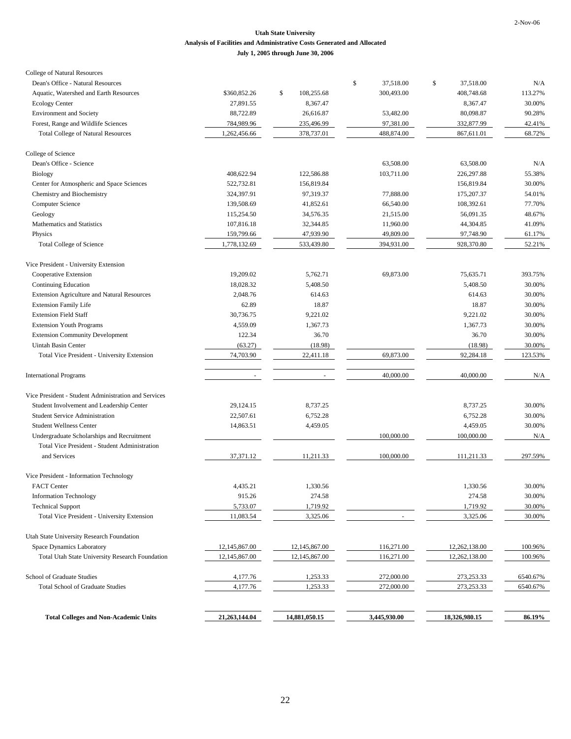#### **Utah State University Analysis of Facilities and Administrative Costs Generated and Allocated July 1, 2005 through June 30, 2006**

| College of Natural Resources                           |               |                  |                 |                 |          |
|--------------------------------------------------------|---------------|------------------|-----------------|-----------------|----------|
| Dean's Office - Natural Resources                      |               |                  | \$<br>37,518.00 | \$<br>37,518.00 | N/A      |
| Aquatic, Watershed and Earth Resources                 | \$360,852.26  | \$<br>108,255.68 | 300,493.00      | 408,748.68      | 113.27%  |
| <b>Ecology Center</b>                                  | 27,891.55     | 8,367.47         |                 | 8,367.47        | 30.00%   |
| <b>Environment</b> and Society                         | 88,722.89     | 26,616.87        | 53,482.00       | 80,098.87       | 90.28%   |
| Forest, Range and Wildlife Sciences                    | 784,989.96    | 235,496.99       | 97,381.00       | 332,877.99      | 42.41%   |
| <b>Total College of Natural Resources</b>              | 1,262,456.66  | 378,737.01       | 488,874.00      | 867,611.01      | 68.72%   |
| College of Science                                     |               |                  |                 |                 |          |
| Dean's Office - Science                                |               |                  | 63,508.00       | 63,508.00       | N/A      |
| Biology                                                | 408,622.94    | 122,586.88       | 103,711.00      | 226,297.88      | 55.38%   |
| Center for Atmospheric and Space Sciences              | 522,732.81    | 156,819.84       |                 | 156,819.84      | 30.00%   |
| Chemistry and Biochemistry                             | 324,397.91    | 97,319.37        | 77,888.00       | 175,207.37      | 54.01%   |
| Computer Science                                       | 139,508.69    | 41,852.61        | 66,540.00       | 108,392.61      | 77.70%   |
| Geology                                                | 115,254.50    | 34,576.35        | 21,515.00       | 56,091.35       | 48.67%   |
| Mathematics and Statistics                             | 107,816.18    | 32,344.85        | 11,960.00       | 44,304.85       | 41.09%   |
| Physics                                                | 159,799.66    | 47,939.90        | 49,809.00       | 97,748.90       | 61.17%   |
| <b>Total College of Science</b>                        | 1,778,132.69  | 533,439.80       | 394,931.00      | 928,370.80      | 52.21%   |
| Vice President - University Extension                  |               |                  |                 |                 |          |
| Cooperative Extension                                  | 19,209.02     | 5,762.71         | 69,873.00       | 75,635.71       | 393.75%  |
| Continuing Education                                   | 18,028.32     | 5,408.50         |                 | 5,408.50        | 30.00%   |
| <b>Extension Agriculture and Natural Resources</b>     | 2,048.76      | 614.63           |                 | 614.63          | 30.00%   |
| <b>Extension Family Life</b>                           | 62.89         | 18.87            |                 | 18.87           | 30.00%   |
| <b>Extension Field Staff</b>                           | 30,736.75     | 9,221.02         |                 | 9,221.02        | 30.00%   |
| <b>Extension Youth Programs</b>                        | 4,559.09      | 1,367.73         |                 | 1,367.73        | 30.00%   |
| <b>Extension Community Development</b>                 | 122.34        | 36.70            |                 | 36.70           | 30.00%   |
| Uintah Basin Center                                    | (63.27)       | (18.98)          |                 | (18.98)         | 30.00%   |
| Total Vice President - University Extension            | 74,703.90     | 22,411.18        | 69,873.00       | 92,284.18       | 123.53%  |
| <b>International Programs</b>                          | $\sim$        | $\sim$           | 40,000.00       | 40,000.00       | N/A      |
|                                                        |               |                  |                 |                 |          |
| Vice President - Student Administration and Services   |               |                  |                 |                 |          |
| Student Involvement and Leadership Center              | 29,124.15     | 8,737.25         |                 | 8,737.25        | 30.00%   |
| <b>Student Service Administration</b>                  | 22,507.61     | 6,752.28         |                 | 6,752.28        | 30.00%   |
| <b>Student Wellness Center</b>                         | 14,863.51     | 4,459.05         |                 | 4,459.05        | 30.00%   |
| Undergraduate Scholarships and Recruitment             |               |                  | 100,000.00      | 100,000.00      | N/A      |
| Total Vice President - Student Administration          |               |                  |                 |                 |          |
| and Services                                           | 37,371.12     | 11,211.33        | 100,000.00      | 111,211.33      | 297.59%  |
| Vice President - Information Technology                |               |                  |                 |                 |          |
| <b>FACT</b> Center                                     | 4,435.21      | 1,330.56         |                 | 1,330.56        | 30.00%   |
| <b>Information Technology</b>                          | 915.26        | 274.58           |                 | 274.58          | 30.00%   |
| <b>Technical Support</b>                               | 5,733.07      | 1,719.92         |                 | 1,719.92        | 30.00%   |
| Total Vice President - University Extension            | 11,083.54     | 3,325.06         | $\sim$          | 3,325.06        | 30.00%   |
| Utah State University Research Foundation              |               |                  |                 |                 |          |
| Space Dynamics Laboratory                              | 12,145,867.00 | 12, 145, 867.00  | 116,271.00      | 12,262,138.00   | 100.96%  |
| <b>Total Utah State University Research Foundation</b> | 12,145,867.00 | 12,145,867.00    | 116,271.00      | 12,262,138.00   | 100.96%  |
| School of Graduate Studies                             | 4,177.76      | 1,253.33         | 272,000.00      | 273, 253. 33    | 6540.67% |
| <b>Total School of Graduate Studies</b>                | 4,177.76      | 1,253.33         | 272,000.00      | 273,253.33      | 6540.67% |
|                                                        |               |                  |                 |                 |          |
| <b>Total Colleges and Non-Academic Units</b>           | 21,263,144.04 | 14,881,050.15    | 3,445,930.00    | 18,326,980.15   | 86.19%   |